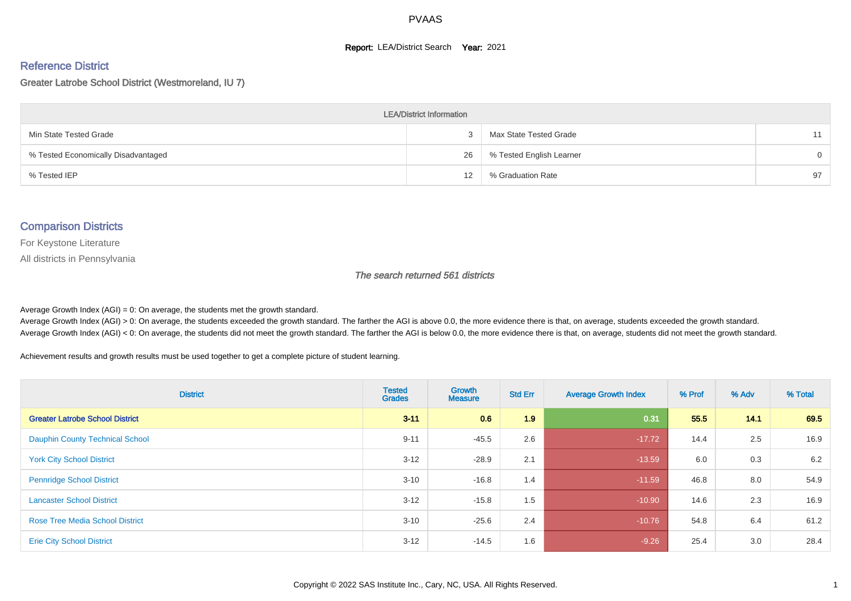#### **Report: LEA/District Search Year: 2021**

#### Reference District

Greater Latrobe School District (Westmoreland, IU 7)

| <b>LEA/District Information</b>     |    |                          |          |  |  |  |  |  |  |  |
|-------------------------------------|----|--------------------------|----------|--|--|--|--|--|--|--|
| Min State Tested Grade              |    | Max State Tested Grade   | 11       |  |  |  |  |  |  |  |
| % Tested Economically Disadvantaged | 26 | % Tested English Learner | $\Omega$ |  |  |  |  |  |  |  |
| % Tested IEP                        | 12 | % Graduation Rate        | 97       |  |  |  |  |  |  |  |

#### Comparison Districts

For Keystone Literature

All districts in Pennsylvania

The search returned 561 districts

Average Growth Index  $(AGI) = 0$ : On average, the students met the growth standard.

Average Growth Index (AGI) > 0: On average, the students exceeded the growth standard. The farther the AGI is above 0.0, the more evidence there is that, on average, students exceeded the growth standard. Average Growth Index (AGI) < 0: On average, the students did not meet the growth standard. The farther the AGI is below 0.0, the more evidence there is that, on average, students did not meet the growth standard.

Achievement results and growth results must be used together to get a complete picture of student learning.

| <b>District</b>                        | <b>Tested</b><br><b>Grades</b> | Growth<br><b>Measure</b> | <b>Std Err</b> | <b>Average Growth Index</b> | % Prof | % Adv | % Total |
|----------------------------------------|--------------------------------|--------------------------|----------------|-----------------------------|--------|-------|---------|
| <b>Greater Latrobe School District</b> | $3 - 11$                       | 0.6                      | 1.9            | 0.31                        | 55.5   | 14.1  | 69.5    |
| <b>Dauphin County Technical School</b> | $9 - 11$                       | $-45.5$                  | 2.6            | $-17.72$                    | 14.4   | 2.5   | 16.9    |
| <b>York City School District</b>       | $3 - 12$                       | $-28.9$                  | 2.1            | $-13.59$                    | 6.0    | 0.3   | 6.2     |
| <b>Pennridge School District</b>       | $3 - 10$                       | $-16.8$                  | 1.4            | $-11.59$                    | 46.8   | 8.0   | 54.9    |
| <b>Lancaster School District</b>       | $3 - 12$                       | $-15.8$                  | 1.5            | $-10.90$                    | 14.6   | 2.3   | 16.9    |
| <b>Rose Tree Media School District</b> | $3 - 10$                       | $-25.6$                  | 2.4            | $-10.76$                    | 54.8   | 6.4   | 61.2    |
| <b>Erie City School District</b>       | $3 - 12$                       | $-14.5$                  | 1.6            | $-9.26$                     | 25.4   | 3.0   | 28.4    |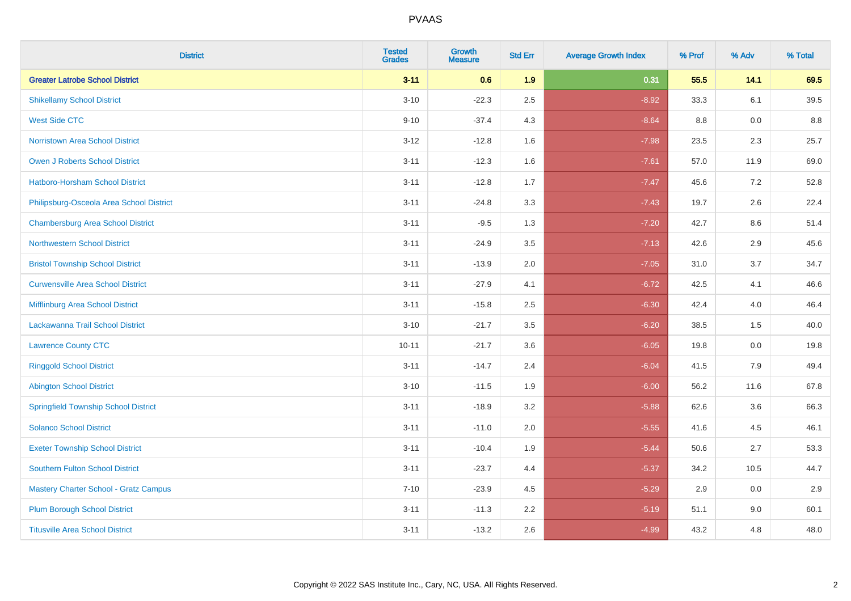| <b>District</b>                              | <b>Tested</b><br><b>Grades</b> | <b>Growth</b><br><b>Measure</b> | <b>Std Err</b> | <b>Average Growth Index</b> | % Prof | % Adv | % Total |
|----------------------------------------------|--------------------------------|---------------------------------|----------------|-----------------------------|--------|-------|---------|
| <b>Greater Latrobe School District</b>       | $3 - 11$                       | 0.6                             | 1.9            | 0.31                        | 55.5   | 14.1  | 69.5    |
| <b>Shikellamy School District</b>            | $3 - 10$                       | $-22.3$                         | 2.5            | $-8.92$                     | 33.3   | 6.1   | 39.5    |
| <b>West Side CTC</b>                         | $9 - 10$                       | $-37.4$                         | 4.3            | $-8.64$                     | 8.8    | 0.0   | 8.8     |
| <b>Norristown Area School District</b>       | $3 - 12$                       | $-12.8$                         | 1.6            | $-7.98$                     | 23.5   | 2.3   | 25.7    |
| Owen J Roberts School District               | $3 - 11$                       | $-12.3$                         | 1.6            | $-7.61$                     | 57.0   | 11.9  | 69.0    |
| <b>Hatboro-Horsham School District</b>       | $3 - 11$                       | $-12.8$                         | 1.7            | $-7.47$                     | 45.6   | 7.2   | 52.8    |
| Philipsburg-Osceola Area School District     | $3 - 11$                       | $-24.8$                         | 3.3            | $-7.43$                     | 19.7   | 2.6   | 22.4    |
| <b>Chambersburg Area School District</b>     | $3 - 11$                       | $-9.5$                          | 1.3            | $-7.20$                     | 42.7   | 8.6   | 51.4    |
| <b>Northwestern School District</b>          | $3 - 11$                       | $-24.9$                         | 3.5            | $-7.13$                     | 42.6   | 2.9   | 45.6    |
| <b>Bristol Township School District</b>      | $3 - 11$                       | $-13.9$                         | 2.0            | $-7.05$                     | 31.0   | 3.7   | 34.7    |
| <b>Curwensville Area School District</b>     | $3 - 11$                       | $-27.9$                         | 4.1            | $-6.72$                     | 42.5   | 4.1   | 46.6    |
| Mifflinburg Area School District             | $3 - 11$                       | $-15.8$                         | 2.5            | $-6.30$                     | 42.4   | 4.0   | 46.4    |
| Lackawanna Trail School District             | $3 - 10$                       | $-21.7$                         | 3.5            | $-6.20$                     | 38.5   | 1.5   | 40.0    |
| <b>Lawrence County CTC</b>                   | $10 - 11$                      | $-21.7$                         | 3.6            | $-6.05$                     | 19.8   | 0.0   | 19.8    |
| <b>Ringgold School District</b>              | $3 - 11$                       | $-14.7$                         | 2.4            | $-6.04$                     | 41.5   | 7.9   | 49.4    |
| <b>Abington School District</b>              | $3 - 10$                       | $-11.5$                         | 1.9            | $-6.00$                     | 56.2   | 11.6  | 67.8    |
| <b>Springfield Township School District</b>  | $3 - 11$                       | $-18.9$                         | 3.2            | $-5.88$                     | 62.6   | 3.6   | 66.3    |
| <b>Solanco School District</b>               | $3 - 11$                       | $-11.0$                         | 2.0            | $-5.55$                     | 41.6   | 4.5   | 46.1    |
| <b>Exeter Township School District</b>       | $3 - 11$                       | $-10.4$                         | 1.9            | $-5.44$                     | 50.6   | 2.7   | 53.3    |
| <b>Southern Fulton School District</b>       | $3 - 11$                       | $-23.7$                         | 4.4            | $-5.37$                     | 34.2   | 10.5  | 44.7    |
| <b>Mastery Charter School - Gratz Campus</b> | $7 - 10$                       | $-23.9$                         | 4.5            | $-5.29$                     | 2.9    | 0.0   | 2.9     |
| <b>Plum Borough School District</b>          | $3 - 11$                       | $-11.3$                         | 2.2            | $-5.19$                     | 51.1   | 9.0   | 60.1    |
| <b>Titusville Area School District</b>       | $3 - 11$                       | $-13.2$                         | 2.6            | $-4.99$                     | 43.2   | 4.8   | 48.0    |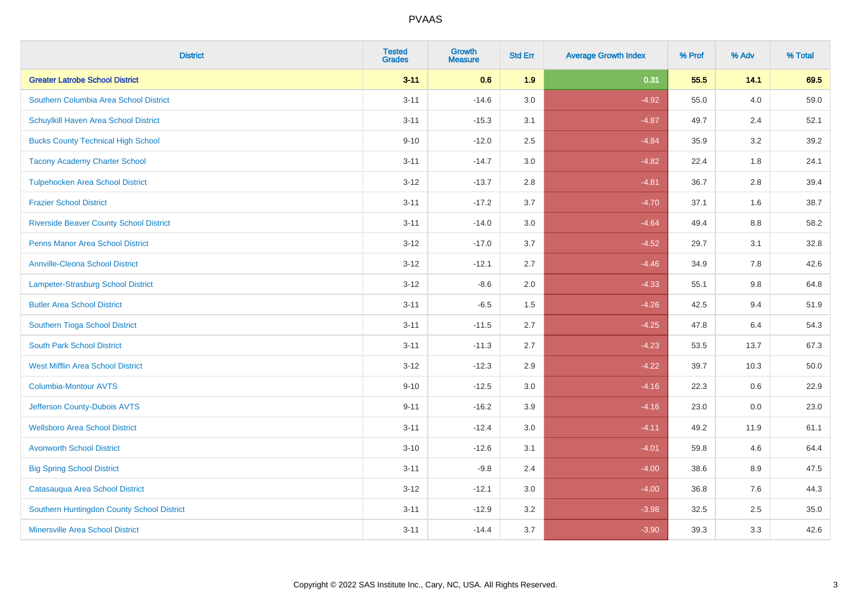| <b>District</b>                                | <b>Tested</b><br><b>Grades</b> | <b>Growth</b><br><b>Measure</b> | <b>Std Err</b> | <b>Average Growth Index</b> | % Prof | % Adv | % Total |
|------------------------------------------------|--------------------------------|---------------------------------|----------------|-----------------------------|--------|-------|---------|
| <b>Greater Latrobe School District</b>         | $3 - 11$                       | 0.6                             | 1.9            | 0.31                        | 55.5   | 14.1  | 69.5    |
| Southern Columbia Area School District         | $3 - 11$                       | $-14.6$                         | 3.0            | $-4.92$                     | 55.0   | 4.0   | 59.0    |
| Schuylkill Haven Area School District          | $3 - 11$                       | $-15.3$                         | 3.1            | $-4.87$                     | 49.7   | 2.4   | 52.1    |
| <b>Bucks County Technical High School</b>      | $9 - 10$                       | $-12.0$                         | 2.5            | $-4.84$                     | 35.9   | 3.2   | 39.2    |
| <b>Tacony Academy Charter School</b>           | $3 - 11$                       | $-14.7$                         | 3.0            | $-4.82$                     | 22.4   | 1.8   | 24.1    |
| <b>Tulpehocken Area School District</b>        | $3 - 12$                       | $-13.7$                         | 2.8            | $-4.81$                     | 36.7   | 2.8   | 39.4    |
| <b>Frazier School District</b>                 | $3 - 11$                       | $-17.2$                         | 3.7            | $-4.70$                     | 37.1   | 1.6   | 38.7    |
| <b>Riverside Beaver County School District</b> | $3 - 11$                       | $-14.0$                         | 3.0            | $-4.64$                     | 49.4   | 8.8   | 58.2    |
| <b>Penns Manor Area School District</b>        | $3 - 12$                       | $-17.0$                         | 3.7            | $-4.52$                     | 29.7   | 3.1   | 32.8    |
| <b>Annville-Cleona School District</b>         | $3 - 12$                       | $-12.1$                         | 2.7            | $-4.46$                     | 34.9   | 7.8   | 42.6    |
| Lampeter-Strasburg School District             | $3 - 12$                       | $-8.6$                          | 2.0            | $-4.33$                     | 55.1   | 9.8   | 64.8    |
| <b>Butler Area School District</b>             | $3 - 11$                       | $-6.5$                          | 1.5            | $-4.26$                     | 42.5   | 9.4   | 51.9    |
| Southern Tioga School District                 | $3 - 11$                       | $-11.5$                         | 2.7            | $-4.25$                     | 47.8   | 6.4   | 54.3    |
| <b>South Park School District</b>              | $3 - 11$                       | $-11.3$                         | 2.7            | $-4.23$                     | 53.5   | 13.7  | 67.3    |
| <b>West Mifflin Area School District</b>       | $3 - 12$                       | $-12.3$                         | 2.9            | $-4.22$                     | 39.7   | 10.3  | 50.0    |
| <b>Columbia-Montour AVTS</b>                   | $9 - 10$                       | $-12.5$                         | 3.0            | $-4.16$                     | 22.3   | 0.6   | 22.9    |
| Jefferson County-Dubois AVTS                   | $9 - 11$                       | $-16.2$                         | 3.9            | $-4.16$                     | 23.0   | 0.0   | 23.0    |
| <b>Wellsboro Area School District</b>          | $3 - 11$                       | $-12.4$                         | 3.0            | $-4.11$                     | 49.2   | 11.9  | 61.1    |
| <b>Avonworth School District</b>               | $3 - 10$                       | $-12.6$                         | 3.1            | $-4.01$                     | 59.8   | 4.6   | 64.4    |
| <b>Big Spring School District</b>              | $3 - 11$                       | $-9.8$                          | 2.4            | $-4.00$                     | 38.6   | 8.9   | 47.5    |
| Catasauqua Area School District                | $3 - 12$                       | $-12.1$                         | 3.0            | $-4.00$                     | 36.8   | 7.6   | 44.3    |
| Southern Huntingdon County School District     | $3 - 11$                       | $-12.9$                         | 3.2            | $-3.98$                     | 32.5   | 2.5   | 35.0    |
| <b>Minersville Area School District</b>        | $3 - 11$                       | $-14.4$                         | 3.7            | $-3.90$                     | 39.3   | 3.3   | 42.6    |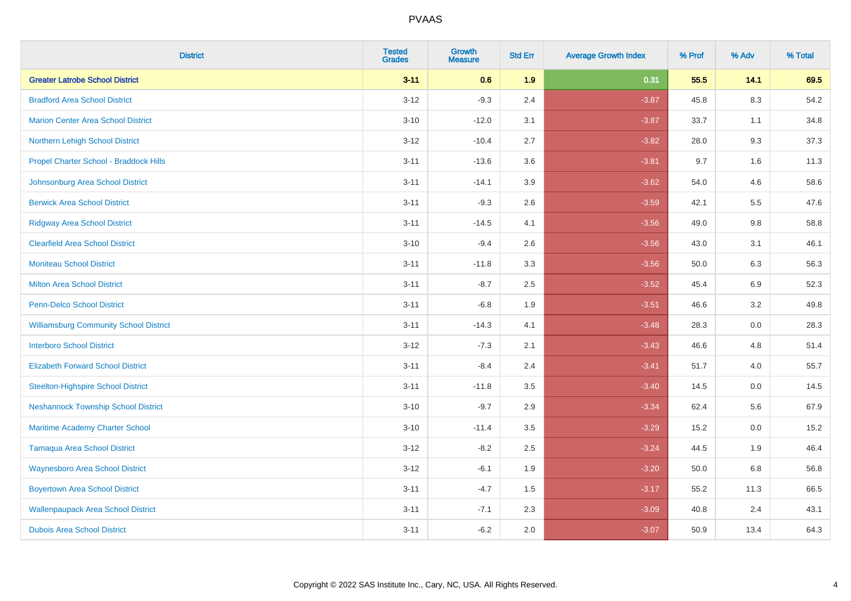| <b>District</b>                               | <b>Tested</b><br><b>Grades</b> | <b>Growth</b><br><b>Measure</b> | <b>Std Err</b> | <b>Average Growth Index</b> | % Prof | % Adv | % Total |
|-----------------------------------------------|--------------------------------|---------------------------------|----------------|-----------------------------|--------|-------|---------|
| <b>Greater Latrobe School District</b>        | $3 - 11$                       | 0.6                             | 1.9            | 0.31                        | 55.5   | 14.1  | 69.5    |
| <b>Bradford Area School District</b>          | $3 - 12$                       | $-9.3$                          | 2.4            | $-3.87$                     | 45.8   | 8.3   | 54.2    |
| <b>Marion Center Area School District</b>     | $3 - 10$                       | $-12.0$                         | 3.1            | $-3.87$                     | 33.7   | 1.1   | 34.8    |
| Northern Lehigh School District               | $3 - 12$                       | $-10.4$                         | 2.7            | $-3.82$                     | 28.0   | 9.3   | 37.3    |
| Propel Charter School - Braddock Hills        | $3 - 11$                       | $-13.6$                         | 3.6            | $-3.81$                     | 9.7    | 1.6   | 11.3    |
| Johnsonburg Area School District              | $3 - 11$                       | $-14.1$                         | 3.9            | $-3.62$                     | 54.0   | 4.6   | 58.6    |
| <b>Berwick Area School District</b>           | $3 - 11$                       | $-9.3$                          | 2.6            | $-3.59$                     | 42.1   | 5.5   | 47.6    |
| <b>Ridgway Area School District</b>           | $3 - 11$                       | $-14.5$                         | 4.1            | $-3.56$                     | 49.0   | 9.8   | 58.8    |
| <b>Clearfield Area School District</b>        | $3 - 10$                       | $-9.4$                          | 2.6            | $-3.56$                     | 43.0   | 3.1   | 46.1    |
| Moniteau School District                      | $3 - 11$                       | $-11.8$                         | 3.3            | $-3.56$                     | 50.0   | 6.3   | 56.3    |
| <b>Milton Area School District</b>            | $3 - 11$                       | $-8.7$                          | 2.5            | $-3.52$                     | 45.4   | 6.9   | 52.3    |
| <b>Penn-Delco School District</b>             | $3 - 11$                       | $-6.8$                          | 1.9            | $-3.51$                     | 46.6   | 3.2   | 49.8    |
| <b>Williamsburg Community School District</b> | $3 - 11$                       | $-14.3$                         | 4.1            | $-3.48$                     | 28.3   | 0.0   | 28.3    |
| <b>Interboro School District</b>              | $3 - 12$                       | $-7.3$                          | 2.1            | $-3.43$                     | 46.6   | 4.8   | 51.4    |
| <b>Elizabeth Forward School District</b>      | $3 - 11$                       | $-8.4$                          | 2.4            | $-3.41$                     | 51.7   | 4.0   | 55.7    |
| <b>Steelton-Highspire School District</b>     | $3 - 11$                       | $-11.8$                         | 3.5            | $-3.40$                     | 14.5   | 0.0   | 14.5    |
| <b>Neshannock Township School District</b>    | $3 - 10$                       | $-9.7$                          | 2.9            | $-3.34$                     | 62.4   | 5.6   | 67.9    |
| Maritime Academy Charter School               | $3 - 10$                       | $-11.4$                         | 3.5            | $-3.29$                     | 15.2   | 0.0   | 15.2    |
| <b>Tamaqua Area School District</b>           | $3 - 12$                       | $-8.2$                          | 2.5            | $-3.24$                     | 44.5   | 1.9   | 46.4    |
| <b>Waynesboro Area School District</b>        | $3 - 12$                       | $-6.1$                          | 1.9            | $-3.20$                     | 50.0   | 6.8   | 56.8    |
| <b>Boyertown Area School District</b>         | $3 - 11$                       | $-4.7$                          | 1.5            | $-3.17$                     | 55.2   | 11.3  | 66.5    |
| <b>Wallenpaupack Area School District</b>     | $3 - 11$                       | $-7.1$                          | 2.3            | $-3.09$                     | 40.8   | 2.4   | 43.1    |
| <b>Dubois Area School District</b>            | $3 - 11$                       | $-6.2$                          | 2.0            | $-3.07$                     | 50.9   | 13.4  | 64.3    |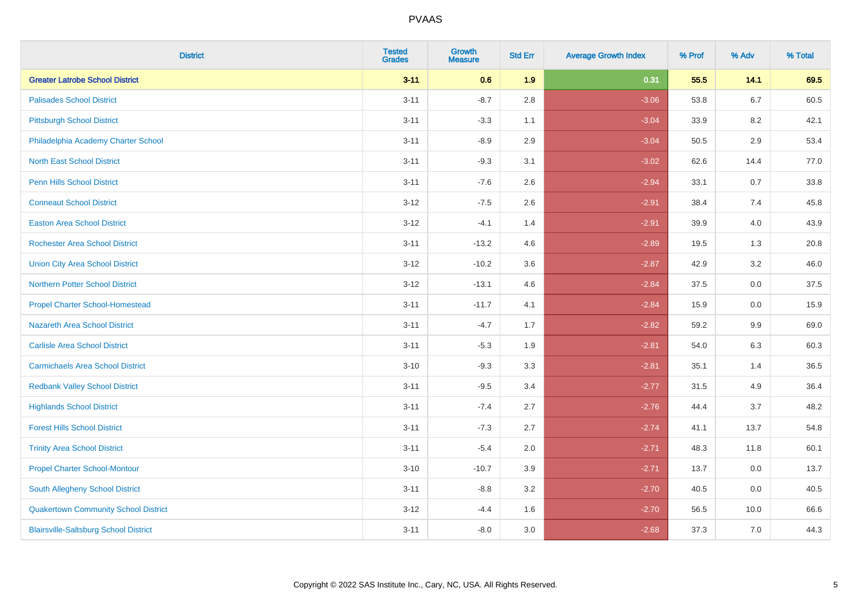| <b>District</b>                              | <b>Tested</b><br><b>Grades</b> | <b>Growth</b><br><b>Measure</b> | <b>Std Err</b> | <b>Average Growth Index</b> | % Prof | % Adv   | % Total |
|----------------------------------------------|--------------------------------|---------------------------------|----------------|-----------------------------|--------|---------|---------|
| <b>Greater Latrobe School District</b>       | $3 - 11$                       | 0.6                             | 1.9            | 0.31                        | 55.5   | 14.1    | 69.5    |
| <b>Palisades School District</b>             | $3 - 11$                       | $-8.7$                          | 2.8            | $-3.06$                     | 53.8   | $6.7\,$ | 60.5    |
| <b>Pittsburgh School District</b>            | $3 - 11$                       | $-3.3$                          | 1.1            | $-3.04$                     | 33.9   | 8.2     | 42.1    |
| Philadelphia Academy Charter School          | $3 - 11$                       | $-8.9$                          | 2.9            | $-3.04$                     | 50.5   | 2.9     | 53.4    |
| <b>North East School District</b>            | $3 - 11$                       | $-9.3$                          | 3.1            | $-3.02$                     | 62.6   | 14.4    | 77.0    |
| <b>Penn Hills School District</b>            | $3 - 11$                       | $-7.6$                          | 2.6            | $-2.94$                     | 33.1   | 0.7     | 33.8    |
| <b>Conneaut School District</b>              | $3 - 12$                       | $-7.5$                          | 2.6            | $-2.91$                     | 38.4   | 7.4     | 45.8    |
| <b>Easton Area School District</b>           | $3 - 12$                       | $-4.1$                          | 1.4            | $-2.91$                     | 39.9   | 4.0     | 43.9    |
| <b>Rochester Area School District</b>        | $3 - 11$                       | $-13.2$                         | 4.6            | $-2.89$                     | 19.5   | 1.3     | 20.8    |
| <b>Union City Area School District</b>       | $3 - 12$                       | $-10.2$                         | 3.6            | $-2.87$                     | 42.9   | 3.2     | 46.0    |
| <b>Northern Potter School District</b>       | $3-12$                         | $-13.1$                         | 4.6            | $-2.84$                     | 37.5   | 0.0     | 37.5    |
| <b>Propel Charter School-Homestead</b>       | $3 - 11$                       | $-11.7$                         | 4.1            | $-2.84$                     | 15.9   | 0.0     | 15.9    |
| Nazareth Area School District                | $3 - 11$                       | $-4.7$                          | 1.7            | $-2.82$                     | 59.2   | $9.9\,$ | 69.0    |
| <b>Carlisle Area School District</b>         | $3 - 11$                       | $-5.3$                          | 1.9            | $-2.81$                     | 54.0   | 6.3     | 60.3    |
| <b>Carmichaels Area School District</b>      | $3 - 10$                       | $-9.3$                          | 3.3            | $-2.81$                     | 35.1   | 1.4     | 36.5    |
| <b>Redbank Valley School District</b>        | $3 - 11$                       | $-9.5$                          | 3.4            | $-2.77$                     | 31.5   | 4.9     | 36.4    |
| <b>Highlands School District</b>             | $3 - 11$                       | $-7.4$                          | 2.7            | $-2.76$                     | 44.4   | 3.7     | 48.2    |
| <b>Forest Hills School District</b>          | $3 - 11$                       | $-7.3$                          | 2.7            | $-2.74$                     | 41.1   | 13.7    | 54.8    |
| <b>Trinity Area School District</b>          | $3 - 11$                       | $-5.4$                          | 2.0            | $-2.71$                     | 48.3   | 11.8    | 60.1    |
| <b>Propel Charter School-Montour</b>         | $3 - 10$                       | $-10.7$                         | 3.9            | $-2.71$                     | 13.7   | 0.0     | 13.7    |
| South Allegheny School District              | $3 - 11$                       | $-8.8$                          | 3.2            | $-2.70$                     | 40.5   | 0.0     | 40.5    |
| <b>Quakertown Community School District</b>  | $3-12$                         | $-4.4$                          | 1.6            | $-2.70$                     | 56.5   | 10.0    | 66.6    |
| <b>Blairsville-Saltsburg School District</b> | $3 - 11$                       | $-8.0$                          | 3.0            | $-2.68$                     | 37.3   | 7.0     | 44.3    |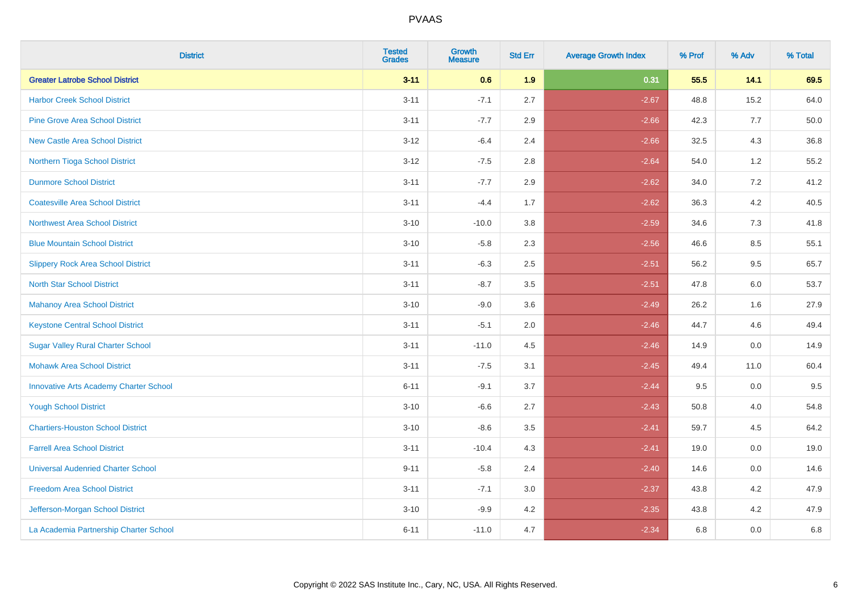| <b>District</b>                               | <b>Tested</b><br><b>Grades</b> | Growth<br><b>Measure</b> | <b>Std Err</b> | <b>Average Growth Index</b> | % Prof | % Adv   | % Total |
|-----------------------------------------------|--------------------------------|--------------------------|----------------|-----------------------------|--------|---------|---------|
| <b>Greater Latrobe School District</b>        | $3 - 11$                       | 0.6                      | 1.9            | 0.31                        | 55.5   | 14.1    | 69.5    |
| <b>Harbor Creek School District</b>           | $3 - 11$                       | $-7.1$                   | 2.7            | $-2.67$                     | 48.8   | 15.2    | 64.0    |
| <b>Pine Grove Area School District</b>        | $3 - 11$                       | $-7.7$                   | 2.9            | $-2.66$                     | 42.3   | 7.7     | 50.0    |
| <b>New Castle Area School District</b>        | $3-12$                         | $-6.4$                   | 2.4            | $-2.66$                     | 32.5   | $4.3$   | 36.8    |
| Northern Tioga School District                | $3 - 12$                       | $-7.5$                   | 2.8            | $-2.64$                     | 54.0   | 1.2     | 55.2    |
| <b>Dunmore School District</b>                | $3 - 11$                       | $-7.7$                   | 2.9            | $-2.62$                     | 34.0   | 7.2     | 41.2    |
| <b>Coatesville Area School District</b>       | $3 - 11$                       | $-4.4$                   | 1.7            | $-2.62$                     | 36.3   | $4.2\,$ | 40.5    |
| <b>Northwest Area School District</b>         | $3 - 10$                       | $-10.0$                  | 3.8            | $-2.59$                     | 34.6   | 7.3     | 41.8    |
| <b>Blue Mountain School District</b>          | $3 - 10$                       | $-5.8$                   | 2.3            | $-2.56$                     | 46.6   | 8.5     | 55.1    |
| <b>Slippery Rock Area School District</b>     | $3 - 11$                       | $-6.3$                   | 2.5            | $-2.51$                     | 56.2   | $9.5\,$ | 65.7    |
| <b>North Star School District</b>             | $3 - 11$                       | $-8.7$                   | 3.5            | $-2.51$                     | 47.8   | 6.0     | 53.7    |
| Mahanoy Area School District                  | $3 - 10$                       | $-9.0$                   | 3.6            | $-2.49$                     | 26.2   | 1.6     | 27.9    |
| <b>Keystone Central School District</b>       | $3 - 11$                       | $-5.1$                   | 2.0            | $-2.46$                     | 44.7   | 4.6     | 49.4    |
| <b>Sugar Valley Rural Charter School</b>      | $3 - 11$                       | $-11.0$                  | 4.5            | $-2.46$                     | 14.9   | $0.0\,$ | 14.9    |
| <b>Mohawk Area School District</b>            | $3 - 11$                       | $-7.5$                   | 3.1            | $-2.45$                     | 49.4   | 11.0    | 60.4    |
| <b>Innovative Arts Academy Charter School</b> | $6 - 11$                       | $-9.1$                   | 3.7            | $-2.44$                     | 9.5    | 0.0     | 9.5     |
| <b>Yough School District</b>                  | $3 - 10$                       | $-6.6$                   | 2.7            | $-2.43$                     | 50.8   | 4.0     | 54.8    |
| <b>Chartiers-Houston School District</b>      | $3 - 10$                       | $-8.6$                   | 3.5            | $-2.41$                     | 59.7   | 4.5     | 64.2    |
| <b>Farrell Area School District</b>           | $3 - 11$                       | $-10.4$                  | 4.3            | $-2.41$                     | 19.0   | 0.0     | 19.0    |
| <b>Universal Audenried Charter School</b>     | $9 - 11$                       | $-5.8$                   | 2.4            | $-2.40$                     | 14.6   | 0.0     | 14.6    |
| <b>Freedom Area School District</b>           | $3 - 11$                       | $-7.1$                   | 3.0            | $-2.37$                     | 43.8   | 4.2     | 47.9    |
| Jefferson-Morgan School District              | $3 - 10$                       | $-9.9$                   | 4.2            | $-2.35$                     | 43.8   | 4.2     | 47.9    |
| La Academia Partnership Charter School        | $6 - 11$                       | $-11.0$                  | 4.7            | $-2.34$                     | 6.8    | 0.0     | 6.8     |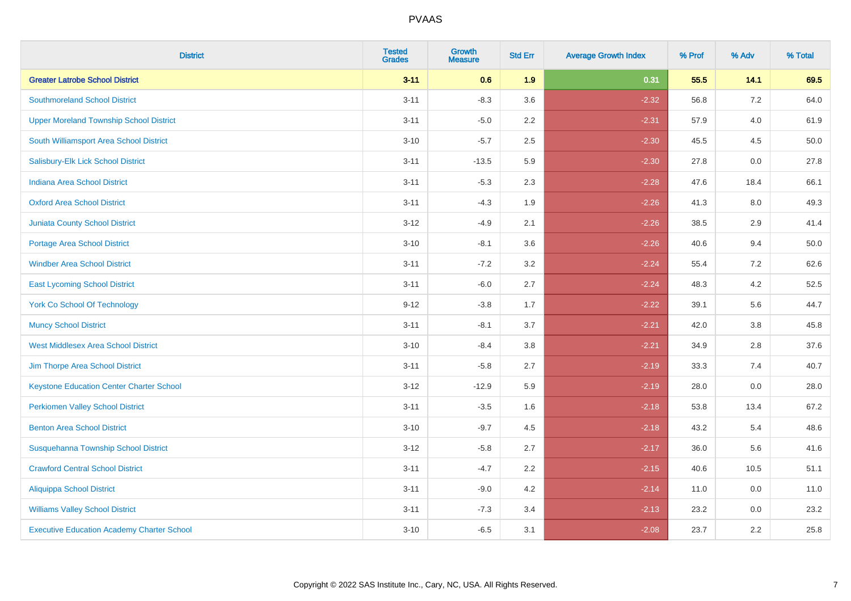| <b>District</b>                                   | <b>Tested</b><br><b>Grades</b> | <b>Growth</b><br><b>Measure</b> | <b>Std Err</b> | <b>Average Growth Index</b> | % Prof | % Adv   | % Total |
|---------------------------------------------------|--------------------------------|---------------------------------|----------------|-----------------------------|--------|---------|---------|
| <b>Greater Latrobe School District</b>            | $3 - 11$                       | 0.6                             | 1.9            | 0.31                        | 55.5   | 14.1    | 69.5    |
| <b>Southmoreland School District</b>              | $3 - 11$                       | $-8.3$                          | 3.6            | $-2.32$                     | 56.8   | 7.2     | 64.0    |
| <b>Upper Moreland Township School District</b>    | $3 - 11$                       | $-5.0$                          | 2.2            | $-2.31$                     | 57.9   | 4.0     | 61.9    |
| South Williamsport Area School District           | $3 - 10$                       | $-5.7$                          | 2.5            | $-2.30$                     | 45.5   | 4.5     | 50.0    |
| Salisbury-Elk Lick School District                | $3 - 11$                       | $-13.5$                         | 5.9            | $-2.30$                     | 27.8   | 0.0     | 27.8    |
| <b>Indiana Area School District</b>               | $3 - 11$                       | $-5.3$                          | 2.3            | $-2.28$                     | 47.6   | 18.4    | 66.1    |
| <b>Oxford Area School District</b>                | $3 - 11$                       | $-4.3$                          | 1.9            | $-2.26$                     | 41.3   | $8.0\,$ | 49.3    |
| <b>Juniata County School District</b>             | $3 - 12$                       | $-4.9$                          | 2.1            | $-2.26$                     | 38.5   | 2.9     | 41.4    |
| Portage Area School District                      | $3 - 10$                       | $-8.1$                          | 3.6            | $-2.26$                     | 40.6   | 9.4     | 50.0    |
| <b>Windber Area School District</b>               | $3 - 11$                       | $-7.2$                          | 3.2            | $-2.24$                     | 55.4   | 7.2     | 62.6    |
| <b>East Lycoming School District</b>              | $3 - 11$                       | $-6.0$                          | 2.7            | $-2.24$                     | 48.3   | 4.2     | 52.5    |
| <b>York Co School Of Technology</b>               | $9 - 12$                       | $-3.8$                          | 1.7            | $-2.22$                     | 39.1   | 5.6     | 44.7    |
| <b>Muncy School District</b>                      | $3 - 11$                       | $-8.1$                          | 3.7            | $-2.21$                     | 42.0   | 3.8     | 45.8    |
| <b>West Middlesex Area School District</b>        | $3 - 10$                       | $-8.4$                          | 3.8            | $-2.21$                     | 34.9   | 2.8     | 37.6    |
| Jim Thorpe Area School District                   | $3 - 11$                       | $-5.8$                          | 2.7            | $-2.19$                     | 33.3   | 7.4     | 40.7    |
| <b>Keystone Education Center Charter School</b>   | $3 - 12$                       | $-12.9$                         | 5.9            | $-2.19$                     | 28.0   | 0.0     | 28.0    |
| <b>Perkiomen Valley School District</b>           | $3 - 11$                       | $-3.5$                          | 1.6            | $-2.18$                     | 53.8   | 13.4    | 67.2    |
| <b>Benton Area School District</b>                | $3 - 10$                       | $-9.7$                          | 4.5            | $-2.18$                     | 43.2   | 5.4     | 48.6    |
| Susquehanna Township School District              | $3 - 12$                       | $-5.8$                          | 2.7            | $-2.17$                     | 36.0   | 5.6     | 41.6    |
| <b>Crawford Central School District</b>           | $3 - 11$                       | $-4.7$                          | 2.2            | $-2.15$                     | 40.6   | 10.5    | 51.1    |
| <b>Aliquippa School District</b>                  | $3 - 11$                       | $-9.0$                          | 4.2            | $-2.14$                     | 11.0   | 0.0     | 11.0    |
| <b>Williams Valley School District</b>            | $3 - 11$                       | $-7.3$                          | 3.4            | $-2.13$                     | 23.2   | 0.0     | 23.2    |
| <b>Executive Education Academy Charter School</b> | $3 - 10$                       | $-6.5$                          | 3.1            | $-2.08$                     | 23.7   | 2.2     | 25.8    |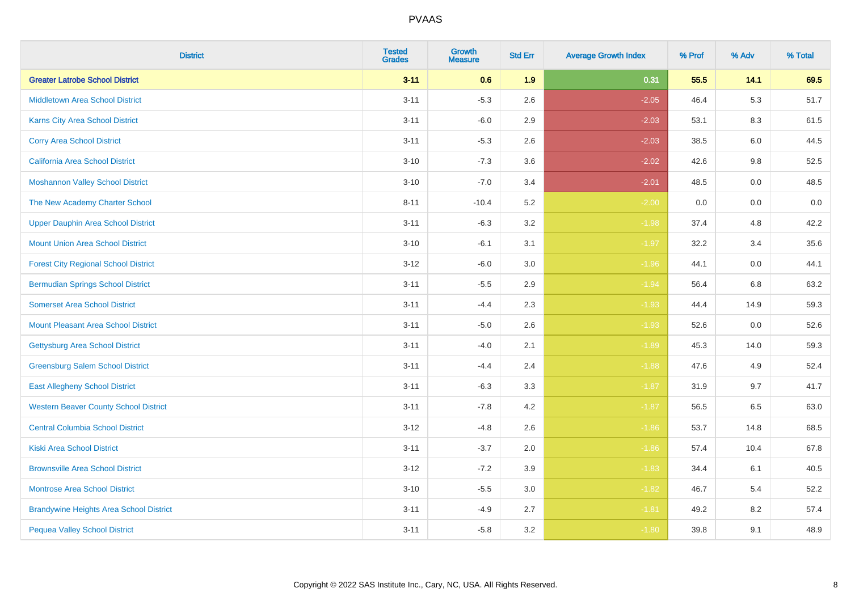| <b>District</b>                                | <b>Tested</b><br><b>Grades</b> | <b>Growth</b><br><b>Measure</b> | <b>Std Err</b> | <b>Average Growth Index</b> | % Prof | % Adv   | % Total |
|------------------------------------------------|--------------------------------|---------------------------------|----------------|-----------------------------|--------|---------|---------|
| <b>Greater Latrobe School District</b>         | $3 - 11$                       | 0.6                             | 1.9            | 0.31                        | 55.5   | 14.1    | 69.5    |
| <b>Middletown Area School District</b>         | $3 - 11$                       | $-5.3$                          | 2.6            | $-2.05$                     | 46.4   | 5.3     | 51.7    |
| Karns City Area School District                | $3 - 11$                       | $-6.0$                          | 2.9            | $-2.03$                     | 53.1   | 8.3     | 61.5    |
| <b>Corry Area School District</b>              | $3 - 11$                       | $-5.3$                          | 2.6            | $-2.03$                     | 38.5   | $6.0\,$ | 44.5    |
| <b>California Area School District</b>         | $3 - 10$                       | $-7.3$                          | 3.6            | $-2.02$                     | 42.6   | 9.8     | 52.5    |
| <b>Moshannon Valley School District</b>        | $3 - 10$                       | $-7.0$                          | 3.4            | $-2.01$                     | 48.5   | 0.0     | 48.5    |
| The New Academy Charter School                 | $8 - 11$                       | $-10.4$                         | 5.2            | $-2.00$                     | 0.0    | 0.0     | 0.0     |
| <b>Upper Dauphin Area School District</b>      | $3 - 11$                       | $-6.3$                          | 3.2            | $-1.98$                     | 37.4   | 4.8     | 42.2    |
| <b>Mount Union Area School District</b>        | $3 - 10$                       | $-6.1$                          | 3.1            | $-1.97$                     | 32.2   | 3.4     | 35.6    |
| <b>Forest City Regional School District</b>    | $3 - 12$                       | $-6.0$                          | 3.0            | $-1.96$                     | 44.1   | 0.0     | 44.1    |
| <b>Bermudian Springs School District</b>       | $3 - 11$                       | $-5.5$                          | 2.9            | $-1.94$                     | 56.4   | 6.8     | 63.2    |
| <b>Somerset Area School District</b>           | $3 - 11$                       | $-4.4$                          | 2.3            | $-1.93$                     | 44.4   | 14.9    | 59.3    |
| Mount Pleasant Area School District            | $3 - 11$                       | $-5.0$                          | 2.6            | $-1.93$                     | 52.6   | $0.0\,$ | 52.6    |
| <b>Gettysburg Area School District</b>         | $3 - 11$                       | $-4.0$                          | 2.1            | $-1.89$                     | 45.3   | 14.0    | 59.3    |
| <b>Greensburg Salem School District</b>        | $3 - 11$                       | $-4.4$                          | 2.4            | $-1.88$                     | 47.6   | 4.9     | 52.4    |
| <b>East Allegheny School District</b>          | $3 - 11$                       | $-6.3$                          | 3.3            | $-1.87$                     | 31.9   | 9.7     | 41.7    |
| <b>Western Beaver County School District</b>   | $3 - 11$                       | $-7.8$                          | 4.2            | $-1.87$                     | 56.5   | 6.5     | 63.0    |
| <b>Central Columbia School District</b>        | $3 - 12$                       | $-4.8$                          | 2.6            | $-1.86$                     | 53.7   | 14.8    | 68.5    |
| <b>Kiski Area School District</b>              | $3 - 11$                       | $-3.7$                          | 2.0            | $-1.86$                     | 57.4   | 10.4    | 67.8    |
| <b>Brownsville Area School District</b>        | $3 - 12$                       | $-7.2$                          | 3.9            | $-1.83$                     | 34.4   | 6.1     | 40.5    |
| <b>Montrose Area School District</b>           | $3 - 10$                       | $-5.5$                          | 3.0            | $-1.82$                     | 46.7   | 5.4     | 52.2    |
| <b>Brandywine Heights Area School District</b> | $3 - 11$                       | $-4.9$                          | 2.7            | $-1.81$                     | 49.2   | 8.2     | 57.4    |
| <b>Pequea Valley School District</b>           | $3 - 11$                       | $-5.8$                          | 3.2            | $-1.80$                     | 39.8   | 9.1     | 48.9    |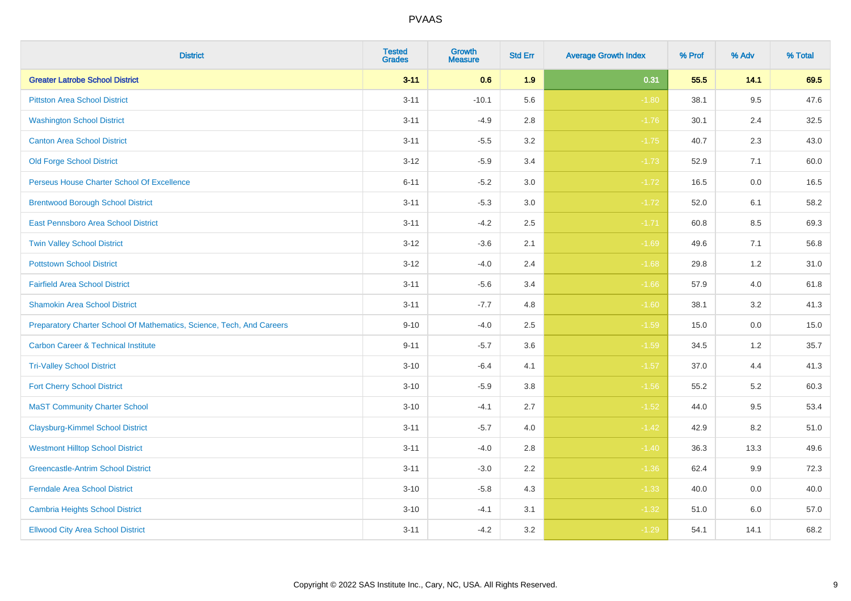| <b>District</b>                                                       | <b>Tested</b><br><b>Grades</b> | Growth<br><b>Measure</b> | <b>Std Err</b> | <b>Average Growth Index</b> | % Prof | % Adv | % Total |
|-----------------------------------------------------------------------|--------------------------------|--------------------------|----------------|-----------------------------|--------|-------|---------|
| <b>Greater Latrobe School District</b>                                | $3 - 11$                       | 0.6                      | 1.9            | 0.31                        | 55.5   | 14.1  | 69.5    |
| <b>Pittston Area School District</b>                                  | $3 - 11$                       | $-10.1$                  | 5.6            | $-1.80$                     | 38.1   | 9.5   | 47.6    |
| <b>Washington School District</b>                                     | $3 - 11$                       | $-4.9$                   | 2.8            | $-1.76$                     | 30.1   | 2.4   | 32.5    |
| <b>Canton Area School District</b>                                    | $3 - 11$                       | $-5.5$                   | $3.2\,$        | $-1.75$                     | 40.7   | 2.3   | 43.0    |
| <b>Old Forge School District</b>                                      | $3 - 12$                       | $-5.9$                   | 3.4            | $-1.73$                     | 52.9   | 7.1   | 60.0    |
| Perseus House Charter School Of Excellence                            | $6 - 11$                       | $-5.2$                   | 3.0            | $-1.72$                     | 16.5   | 0.0   | 16.5    |
| <b>Brentwood Borough School District</b>                              | $3 - 11$                       | $-5.3$                   | $3.0\,$        | $-1.72$                     | 52.0   | 6.1   | 58.2    |
| East Pennsboro Area School District                                   | $3 - 11$                       | $-4.2$                   | 2.5            | $-1.71$                     | 60.8   | 8.5   | 69.3    |
| <b>Twin Valley School District</b>                                    | $3 - 12$                       | $-3.6$                   | 2.1            | $-1.69$                     | 49.6   | 7.1   | 56.8    |
| <b>Pottstown School District</b>                                      | $3 - 12$                       | $-4.0$                   | 2.4            | $-1.68$                     | 29.8   | 1.2   | 31.0    |
| <b>Fairfield Area School District</b>                                 | $3 - 11$                       | $-5.6$                   | 3.4            | $-1.66$                     | 57.9   | 4.0   | 61.8    |
| <b>Shamokin Area School District</b>                                  | $3 - 11$                       | $-7.7$                   | 4.8            | $-1.60$                     | 38.1   | 3.2   | 41.3    |
| Preparatory Charter School Of Mathematics, Science, Tech, And Careers | $9 - 10$                       | $-4.0$                   | 2.5            | $-1.59$                     | 15.0   | 0.0   | 15.0    |
| <b>Carbon Career &amp; Technical Institute</b>                        | $9 - 11$                       | $-5.7$                   | 3.6            | $-1.59$                     | 34.5   | 1.2   | 35.7    |
| <b>Tri-Valley School District</b>                                     | $3 - 10$                       | $-6.4$                   | 4.1            | $-1.57$                     | 37.0   | 4.4   | 41.3    |
| <b>Fort Cherry School District</b>                                    | $3 - 10$                       | $-5.9$                   | 3.8            | $-1.56$                     | 55.2   | 5.2   | 60.3    |
| <b>MaST Community Charter School</b>                                  | $3 - 10$                       | $-4.1$                   | 2.7            | $-1.52$                     | 44.0   | 9.5   | 53.4    |
| <b>Claysburg-Kimmel School District</b>                               | $3 - 11$                       | $-5.7$                   | 4.0            | $-1.42$                     | 42.9   | 8.2   | 51.0    |
| <b>Westmont Hilltop School District</b>                               | $3 - 11$                       | $-4.0$                   | 2.8            | $-1.40$                     | 36.3   | 13.3  | 49.6    |
| <b>Greencastle-Antrim School District</b>                             | $3 - 11$                       | $-3.0$                   | 2.2            | $-1.36$                     | 62.4   | 9.9   | 72.3    |
| <b>Ferndale Area School District</b>                                  | $3 - 10$                       | $-5.8$                   | 4.3            | $-1.33$                     | 40.0   | 0.0   | 40.0    |
| <b>Cambria Heights School District</b>                                | $3 - 10$                       | $-4.1$                   | 3.1            | $-1.32$                     | 51.0   | 6.0   | 57.0    |
| <b>Ellwood City Area School District</b>                              | $3 - 11$                       | $-4.2$                   | 3.2            | $-1.29$                     | 54.1   | 14.1  | 68.2    |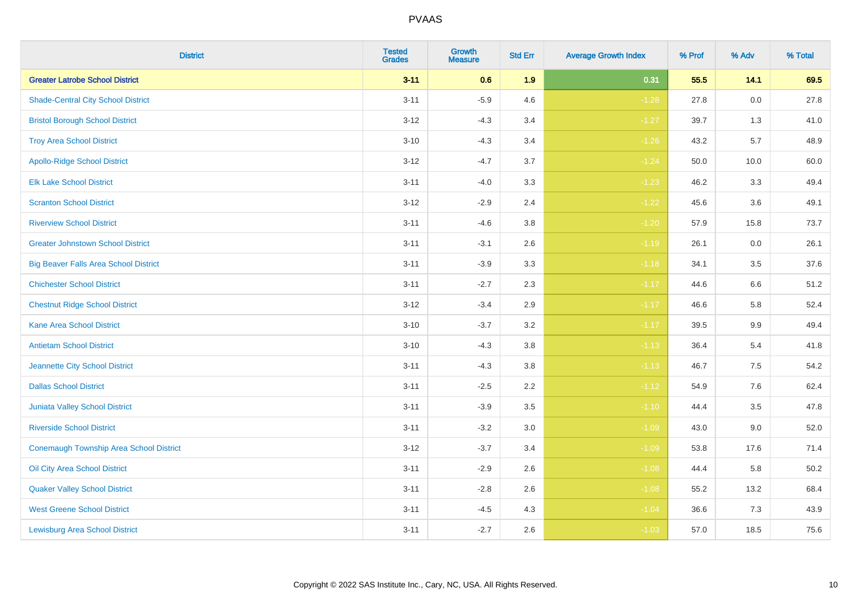| <b>District</b>                              | <b>Tested</b><br><b>Grades</b> | <b>Growth</b><br><b>Measure</b> | <b>Std Err</b> | <b>Average Growth Index</b> | % Prof | % Adv   | % Total |
|----------------------------------------------|--------------------------------|---------------------------------|----------------|-----------------------------|--------|---------|---------|
| <b>Greater Latrobe School District</b>       | $3 - 11$                       | 0.6                             | 1.9            | 0.31                        | 55.5   | 14.1    | 69.5    |
| <b>Shade-Central City School District</b>    | $3 - 11$                       | $-5.9$                          | 4.6            | $-1.28$                     | 27.8   | $0.0\,$ | 27.8    |
| <b>Bristol Borough School District</b>       | $3 - 12$                       | $-4.3$                          | 3.4            | $-1.27$                     | 39.7   | 1.3     | 41.0    |
| <b>Troy Area School District</b>             | $3 - 10$                       | $-4.3$                          | 3.4            | $-1.26$                     | 43.2   | 5.7     | 48.9    |
| <b>Apollo-Ridge School District</b>          | $3 - 12$                       | $-4.7$                          | 3.7            | $-1.24$                     | 50.0   | 10.0    | 60.0    |
| <b>Elk Lake School District</b>              | $3 - 11$                       | $-4.0$                          | 3.3            | $-1.23$                     | 46.2   | 3.3     | 49.4    |
| <b>Scranton School District</b>              | $3 - 12$                       | $-2.9$                          | 2.4            | $-1.22$                     | 45.6   | 3.6     | 49.1    |
| <b>Riverview School District</b>             | $3 - 11$                       | $-4.6$                          | 3.8            | $-1.20$                     | 57.9   | 15.8    | 73.7    |
| <b>Greater Johnstown School District</b>     | $3 - 11$                       | $-3.1$                          | 2.6            | $-1.19$                     | 26.1   | 0.0     | 26.1    |
| <b>Big Beaver Falls Area School District</b> | $3 - 11$                       | $-3.9$                          | 3.3            | $-1.18$                     | 34.1   | 3.5     | 37.6    |
| <b>Chichester School District</b>            | $3 - 11$                       | $-2.7$                          | 2.3            | $-1.17$                     | 44.6   | 6.6     | 51.2    |
| <b>Chestnut Ridge School District</b>        | $3 - 12$                       | $-3.4$                          | 2.9            | $-1.17$                     | 46.6   | 5.8     | 52.4    |
| Kane Area School District                    | $3 - 10$                       | $-3.7$                          | $3.2\,$        | $-1.17$                     | 39.5   | $9.9\,$ | 49.4    |
| <b>Antietam School District</b>              | $3 - 10$                       | $-4.3$                          | 3.8            | $-1.13$                     | 36.4   | 5.4     | 41.8    |
| Jeannette City School District               | $3 - 11$                       | $-4.3$                          | 3.8            | $-1.13$                     | 46.7   | 7.5     | 54.2    |
| <b>Dallas School District</b>                | $3 - 11$                       | $-2.5$                          | 2.2            | $-1.12$                     | 54.9   | 7.6     | 62.4    |
| Juniata Valley School District               | $3 - 11$                       | $-3.9$                          | 3.5            | $-1.10$                     | 44.4   | 3.5     | 47.8    |
| <b>Riverside School District</b>             | $3 - 11$                       | $-3.2$                          | 3.0            | $-1.09$                     | 43.0   | 9.0     | 52.0    |
| Conemaugh Township Area School District      | $3 - 12$                       | $-3.7$                          | 3.4            | $-1.09$                     | 53.8   | 17.6    | 71.4    |
| Oil City Area School District                | $3 - 11$                       | $-2.9$                          | 2.6            | $-1.08$                     | 44.4   | 5.8     | 50.2    |
| <b>Quaker Valley School District</b>         | $3 - 11$                       | $-2.8$                          | 2.6            | $-1.08$                     | 55.2   | 13.2    | 68.4    |
| <b>West Greene School District</b>           | $3 - 11$                       | $-4.5$                          | 4.3            | $-1.04$                     | 36.6   | 7.3     | 43.9    |
| <b>Lewisburg Area School District</b>        | $3 - 11$                       | $-2.7$                          | 2.6            | $-1.03$                     | 57.0   | 18.5    | 75.6    |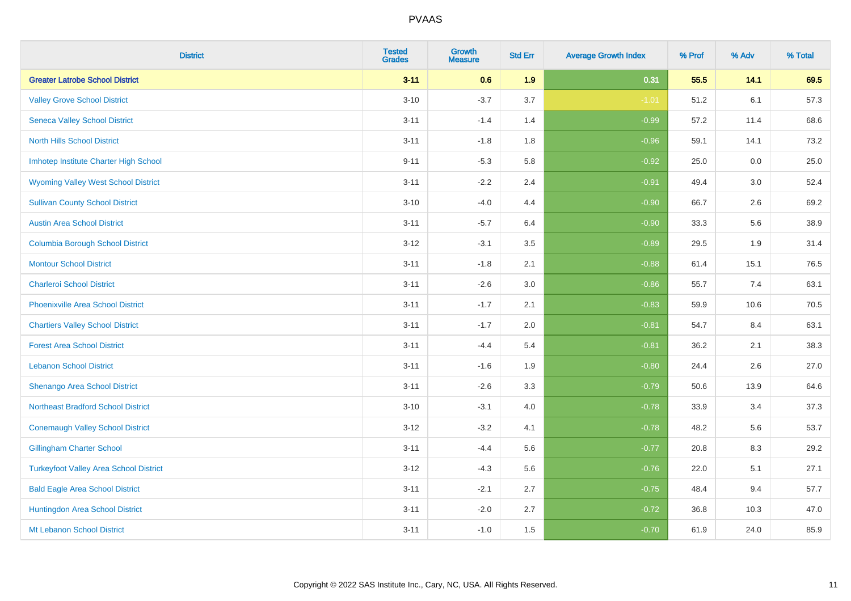| <b>District</b>                               | <b>Tested</b><br><b>Grades</b> | <b>Growth</b><br><b>Measure</b> | <b>Std Err</b> | <b>Average Growth Index</b> | % Prof | % Adv | % Total |
|-----------------------------------------------|--------------------------------|---------------------------------|----------------|-----------------------------|--------|-------|---------|
| <b>Greater Latrobe School District</b>        | $3 - 11$                       | 0.6                             | 1.9            | 0.31                        | 55.5   | 14.1  | 69.5    |
| <b>Valley Grove School District</b>           | $3 - 10$                       | $-3.7$                          | 3.7            | $-1.01$                     | 51.2   | 6.1   | 57.3    |
| <b>Seneca Valley School District</b>          | $3 - 11$                       | $-1.4$                          | 1.4            | $-0.99$                     | 57.2   | 11.4  | 68.6    |
| <b>North Hills School District</b>            | $3 - 11$                       | $-1.8$                          | 1.8            | $-0.96$                     | 59.1   | 14.1  | 73.2    |
| Imhotep Institute Charter High School         | $9 - 11$                       | $-5.3$                          | 5.8            | $-0.92$                     | 25.0   | 0.0   | 25.0    |
| <b>Wyoming Valley West School District</b>    | $3 - 11$                       | $-2.2$                          | 2.4            | $-0.91$                     | 49.4   | 3.0   | 52.4    |
| <b>Sullivan County School District</b>        | $3 - 10$                       | $-4.0$                          | 4.4            | $-0.90$                     | 66.7   | 2.6   | 69.2    |
| <b>Austin Area School District</b>            | $3 - 11$                       | $-5.7$                          | 6.4            | $-0.90$                     | 33.3   | 5.6   | 38.9    |
| <b>Columbia Borough School District</b>       | $3 - 12$                       | $-3.1$                          | 3.5            | $-0.89$                     | 29.5   | 1.9   | 31.4    |
| <b>Montour School District</b>                | $3 - 11$                       | $-1.8$                          | 2.1            | $-0.88$                     | 61.4   | 15.1  | 76.5    |
| <b>Charleroi School District</b>              | $3 - 11$                       | $-2.6$                          | 3.0            | $-0.86$                     | 55.7   | 7.4   | 63.1    |
| <b>Phoenixville Area School District</b>      | $3 - 11$                       | $-1.7$                          | 2.1            | $-0.83$                     | 59.9   | 10.6  | 70.5    |
| <b>Chartiers Valley School District</b>       | $3 - 11$                       | $-1.7$                          | 2.0            | $-0.81$                     | 54.7   | 8.4   | 63.1    |
| <b>Forest Area School District</b>            | $3 - 11$                       | $-4.4$                          | 5.4            | $-0.81$                     | 36.2   | 2.1   | 38.3    |
| <b>Lebanon School District</b>                | $3 - 11$                       | $-1.6$                          | 1.9            | $-0.80$                     | 24.4   | 2.6   | 27.0    |
| Shenango Area School District                 | $3 - 11$                       | $-2.6$                          | 3.3            | $-0.79$                     | 50.6   | 13.9  | 64.6    |
| <b>Northeast Bradford School District</b>     | $3 - 10$                       | $-3.1$                          | 4.0            | $-0.78$                     | 33.9   | 3.4   | 37.3    |
| <b>Conemaugh Valley School District</b>       | $3 - 12$                       | $-3.2$                          | 4.1            | $-0.78$                     | 48.2   | 5.6   | 53.7    |
| <b>Gillingham Charter School</b>              | $3 - 11$                       | $-4.4$                          | 5.6            | $-0.77$                     | 20.8   | 8.3   | 29.2    |
| <b>Turkeyfoot Valley Area School District</b> | $3 - 12$                       | $-4.3$                          | 5.6            | $-0.76$                     | 22.0   | 5.1   | 27.1    |
| <b>Bald Eagle Area School District</b>        | $3 - 11$                       | $-2.1$                          | 2.7            | $-0.75$                     | 48.4   | 9.4   | 57.7    |
| Huntingdon Area School District               | $3 - 11$                       | $-2.0$                          | 2.7            | $-0.72$                     | 36.8   | 10.3  | 47.0    |
| Mt Lebanon School District                    | $3 - 11$                       | $-1.0$                          | 1.5            | $-0.70$                     | 61.9   | 24.0  | 85.9    |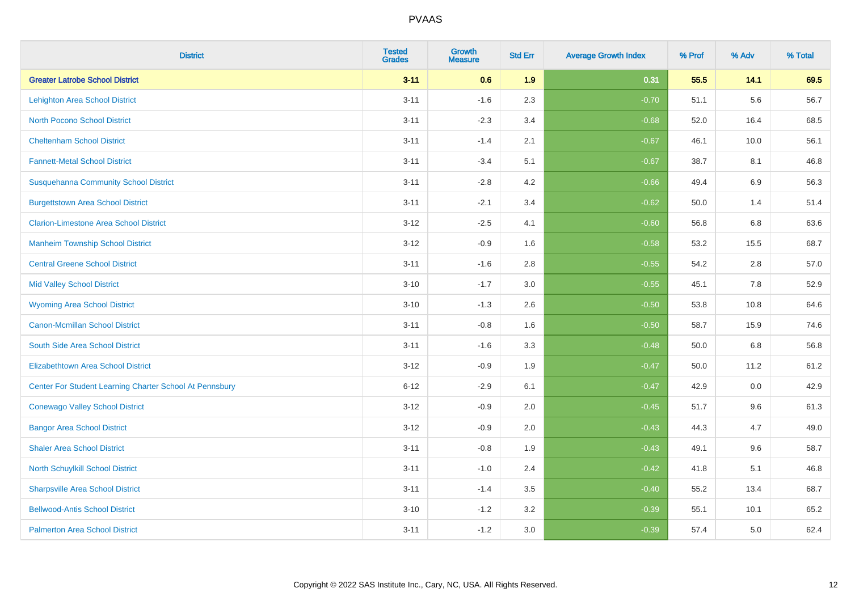| <b>District</b>                                         | <b>Tested</b><br><b>Grades</b> | Growth<br><b>Measure</b> | <b>Std Err</b> | <b>Average Growth Index</b> | % Prof | % Adv   | % Total |
|---------------------------------------------------------|--------------------------------|--------------------------|----------------|-----------------------------|--------|---------|---------|
| <b>Greater Latrobe School District</b>                  | $3 - 11$                       | 0.6                      | 1.9            | 0.31                        | 55.5   | 14.1    | 69.5    |
| <b>Lehighton Area School District</b>                   | $3 - 11$                       | $-1.6$                   | 2.3            | $-0.70$                     | 51.1   | 5.6     | 56.7    |
| <b>North Pocono School District</b>                     | $3 - 11$                       | $-2.3$                   | 3.4            | $-0.68$                     | 52.0   | 16.4    | 68.5    |
| <b>Cheltenham School District</b>                       | $3 - 11$                       | $-1.4$                   | 2.1            | $-0.67$                     | 46.1   | 10.0    | 56.1    |
| <b>Fannett-Metal School District</b>                    | $3 - 11$                       | $-3.4$                   | 5.1            | $-0.67$                     | 38.7   | 8.1     | 46.8    |
| <b>Susquehanna Community School District</b>            | $3 - 11$                       | $-2.8$                   | 4.2            | $-0.66$                     | 49.4   | 6.9     | 56.3    |
| <b>Burgettstown Area School District</b>                | $3 - 11$                       | $-2.1$                   | 3.4            | $-0.62$                     | 50.0   | 1.4     | 51.4    |
| <b>Clarion-Limestone Area School District</b>           | $3 - 12$                       | $-2.5$                   | 4.1            | $-0.60$                     | 56.8   | 6.8     | 63.6    |
| <b>Manheim Township School District</b>                 | $3 - 12$                       | $-0.9$                   | 1.6            | $-0.58$                     | 53.2   | 15.5    | 68.7    |
| <b>Central Greene School District</b>                   | $3 - 11$                       | $-1.6$                   | 2.8            | $-0.55$                     | 54.2   | 2.8     | 57.0    |
| <b>Mid Valley School District</b>                       | $3 - 10$                       | $-1.7$                   | 3.0            | $-0.55$                     | 45.1   | $7.8\,$ | 52.9    |
| <b>Wyoming Area School District</b>                     | $3 - 10$                       | $-1.3$                   | 2.6            | $-0.50$                     | 53.8   | 10.8    | 64.6    |
| <b>Canon-Mcmillan School District</b>                   | $3 - 11$                       | $-0.8$                   | 1.6            | $-0.50$                     | 58.7   | 15.9    | 74.6    |
| South Side Area School District                         | $3 - 11$                       | $-1.6$                   | 3.3            | $-0.48$                     | 50.0   | 6.8     | 56.8    |
| <b>Elizabethtown Area School District</b>               | $3 - 12$                       | $-0.9$                   | 1.9            | $-0.47$                     | 50.0   | 11.2    | 61.2    |
| Center For Student Learning Charter School At Pennsbury | $6 - 12$                       | $-2.9$                   | 6.1            | $-0.47$                     | 42.9   | 0.0     | 42.9    |
| <b>Conewago Valley School District</b>                  | $3 - 12$                       | $-0.9$                   | 2.0            | $-0.45$                     | 51.7   | 9.6     | 61.3    |
| <b>Bangor Area School District</b>                      | $3 - 12$                       | $-0.9$                   | 2.0            | $-0.43$                     | 44.3   | 4.7     | 49.0    |
| <b>Shaler Area School District</b>                      | $3 - 11$                       | $-0.8$                   | 1.9            | $-0.43$                     | 49.1   | 9.6     | 58.7    |
| North Schuylkill School District                        | $3 - 11$                       | $-1.0$                   | 2.4            | $-0.42$                     | 41.8   | 5.1     | 46.8    |
| <b>Sharpsville Area School District</b>                 | $3 - 11$                       | $-1.4$                   | 3.5            | $-0.40$                     | 55.2   | 13.4    | 68.7    |
| <b>Bellwood-Antis School District</b>                   | $3 - 10$                       | $-1.2$                   | 3.2            | $-0.39$                     | 55.1   | 10.1    | 65.2    |
| <b>Palmerton Area School District</b>                   | $3 - 11$                       | $-1.2$                   | 3.0            | $-0.39$                     | 57.4   | 5.0     | 62.4    |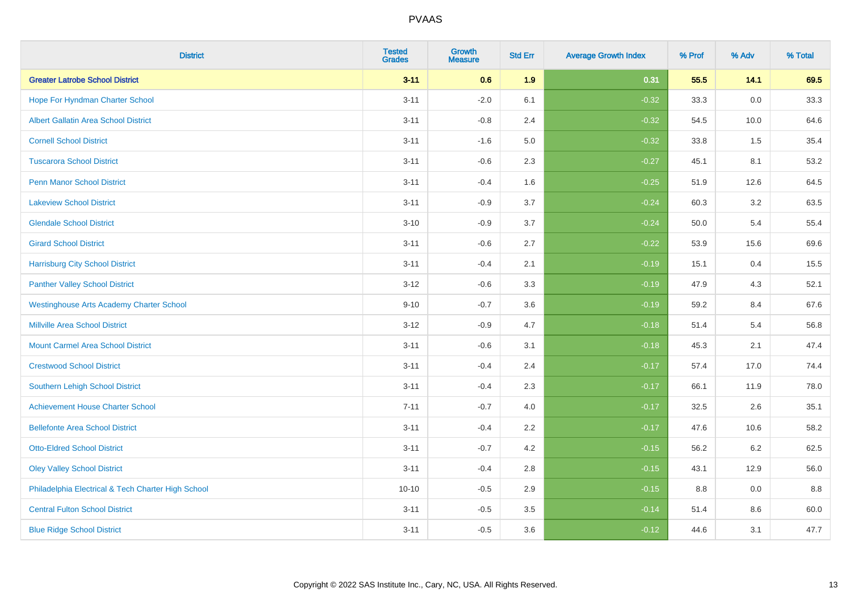| <b>District</b>                                    | <b>Tested</b><br><b>Grades</b> | <b>Growth</b><br><b>Measure</b> | <b>Std Err</b> | <b>Average Growth Index</b> | % Prof | % Adv   | % Total |
|----------------------------------------------------|--------------------------------|---------------------------------|----------------|-----------------------------|--------|---------|---------|
| <b>Greater Latrobe School District</b>             | $3 - 11$                       | 0.6                             | 1.9            | 0.31                        | 55.5   | 14.1    | 69.5    |
| Hope For Hyndman Charter School                    | $3 - 11$                       | $-2.0$                          | 6.1            | $-0.32$                     | 33.3   | 0.0     | 33.3    |
| <b>Albert Gallatin Area School District</b>        | $3 - 11$                       | $-0.8$                          | 2.4            | $-0.32$                     | 54.5   | 10.0    | 64.6    |
| <b>Cornell School District</b>                     | $3 - 11$                       | $-1.6$                          | 5.0            | $-0.32$                     | 33.8   | 1.5     | 35.4    |
| <b>Tuscarora School District</b>                   | $3 - 11$                       | $-0.6$                          | 2.3            | $-0.27$                     | 45.1   | 8.1     | 53.2    |
| <b>Penn Manor School District</b>                  | $3 - 11$                       | $-0.4$                          | 1.6            | $-0.25$                     | 51.9   | 12.6    | 64.5    |
| <b>Lakeview School District</b>                    | $3 - 11$                       | $-0.9$                          | 3.7            | $-0.24$                     | 60.3   | 3.2     | 63.5    |
| <b>Glendale School District</b>                    | $3 - 10$                       | $-0.9$                          | 3.7            | $-0.24$                     | 50.0   | 5.4     | 55.4    |
| <b>Girard School District</b>                      | $3 - 11$                       | $-0.6$                          | 2.7            | $-0.22$                     | 53.9   | 15.6    | 69.6    |
| <b>Harrisburg City School District</b>             | $3 - 11$                       | $-0.4$                          | 2.1            | $-0.19$                     | 15.1   | 0.4     | 15.5    |
| <b>Panther Valley School District</b>              | $3 - 12$                       | $-0.6$                          | 3.3            | $-0.19$                     | 47.9   | 4.3     | 52.1    |
| <b>Westinghouse Arts Academy Charter School</b>    | $9 - 10$                       | $-0.7$                          | 3.6            | $-0.19$                     | 59.2   | 8.4     | 67.6    |
| <b>Millville Area School District</b>              | $3 - 12$                       | $-0.9$                          | 4.7            | $-0.18$                     | 51.4   | 5.4     | 56.8    |
| <b>Mount Carmel Area School District</b>           | $3 - 11$                       | $-0.6$                          | 3.1            | $-0.18$                     | 45.3   | 2.1     | 47.4    |
| <b>Crestwood School District</b>                   | $3 - 11$                       | $-0.4$                          | 2.4            | $-0.17$                     | 57.4   | 17.0    | 74.4    |
| Southern Lehigh School District                    | $3 - 11$                       | $-0.4$                          | 2.3            | $-0.17$                     | 66.1   | 11.9    | 78.0    |
| <b>Achievement House Charter School</b>            | $7 - 11$                       | $-0.7$                          | 4.0            | $-0.17$                     | 32.5   | $2.6\,$ | 35.1    |
| <b>Bellefonte Area School District</b>             | $3 - 11$                       | $-0.4$                          | 2.2            | $-0.17$                     | 47.6   | 10.6    | 58.2    |
| <b>Otto-Eldred School District</b>                 | $3 - 11$                       | $-0.7$                          | 4.2            | $-0.15$                     | 56.2   | $6.2\,$ | 62.5    |
| <b>Oley Valley School District</b>                 | $3 - 11$                       | $-0.4$                          | 2.8            | $-0.15$                     | 43.1   | 12.9    | 56.0    |
| Philadelphia Electrical & Tech Charter High School | $10 - 10$                      | $-0.5$                          | 2.9            | $-0.15$                     | 8.8    | 0.0     | 8.8     |
| <b>Central Fulton School District</b>              | $3 - 11$                       | $-0.5$                          | 3.5            | $-0.14$                     | 51.4   | 8.6     | 60.0    |
| <b>Blue Ridge School District</b>                  | $3 - 11$                       | $-0.5$                          | 3.6            | $-0.12$                     | 44.6   | 3.1     | 47.7    |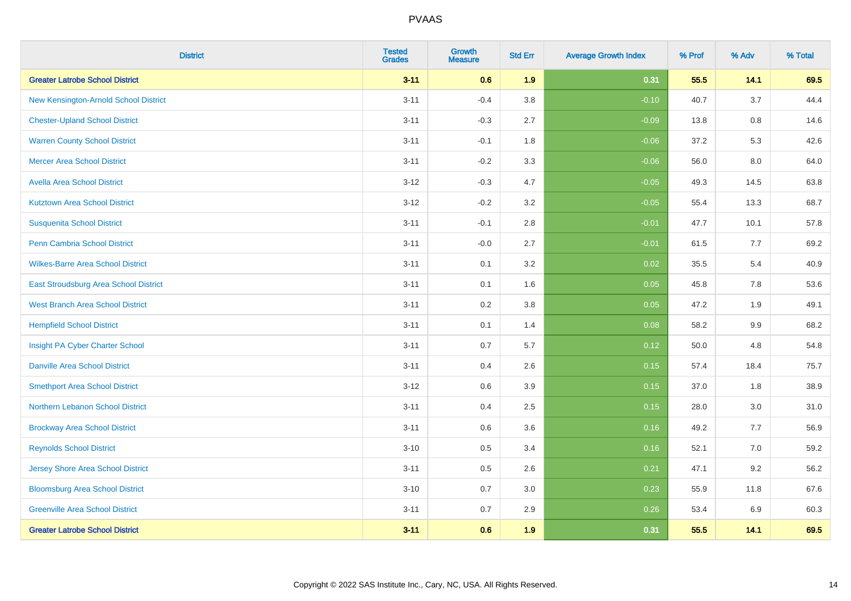| <b>District</b>                          | <b>Tested</b><br><b>Grades</b> | <b>Growth</b><br><b>Measure</b> | <b>Std Err</b> | <b>Average Growth Index</b> | % Prof | % Adv | % Total |
|------------------------------------------|--------------------------------|---------------------------------|----------------|-----------------------------|--------|-------|---------|
| <b>Greater Latrobe School District</b>   | $3 - 11$                       | 0.6                             | 1.9            | 0.31                        | 55.5   | 14.1  | 69.5    |
| New Kensington-Arnold School District    | $3 - 11$                       | $-0.4$                          | 3.8            | $-0.10$                     | 40.7   | 3.7   | 44.4    |
| <b>Chester-Upland School District</b>    | $3 - 11$                       | $-0.3$                          | 2.7            | $-0.09$                     | 13.8   | 0.8   | 14.6    |
| <b>Warren County School District</b>     | $3 - 11$                       | $-0.1$                          | 1.8            | $-0.06$                     | 37.2   | 5.3   | 42.6    |
| <b>Mercer Area School District</b>       | $3 - 11$                       | $-0.2$                          | 3.3            | $-0.06$                     | 56.0   | 8.0   | 64.0    |
| <b>Avella Area School District</b>       | $3 - 12$                       | $-0.3$                          | 4.7            | $-0.05$                     | 49.3   | 14.5  | 63.8    |
| <b>Kutztown Area School District</b>     | $3 - 12$                       | $-0.2$                          | 3.2            | $-0.05$                     | 55.4   | 13.3  | 68.7    |
| <b>Susquenita School District</b>        | $3 - 11$                       | $-0.1$                          | 2.8            | $-0.01$                     | 47.7   | 10.1  | 57.8    |
| <b>Penn Cambria School District</b>      | $3 - 11$                       | $-0.0$                          | 2.7            | $-0.01$                     | 61.5   | 7.7   | 69.2    |
| <b>Wilkes-Barre Area School District</b> | $3 - 11$                       | 0.1                             | 3.2            | 0.02                        | 35.5   | 5.4   | 40.9    |
| East Stroudsburg Area School District    | $3 - 11$                       | 0.1                             | 1.6            | 0.05                        | 45.8   | 7.8   | 53.6    |
| <b>West Branch Area School District</b>  | $3 - 11$                       | 0.2                             | 3.8            | 0.05                        | 47.2   | 1.9   | 49.1    |
| <b>Hempfield School District</b>         | $3 - 11$                       | 0.1                             | 1.4            | 0.08                        | 58.2   | 9.9   | 68.2    |
| Insight PA Cyber Charter School          | $3 - 11$                       | 0.7                             | 5.7            | 0.12                        | 50.0   | 4.8   | 54.8    |
| <b>Danville Area School District</b>     | $3 - 11$                       | 0.4                             | 2.6            | 0.15                        | 57.4   | 18.4  | 75.7    |
| <b>Smethport Area School District</b>    | $3 - 12$                       | 0.6                             | 3.9            | 0.15                        | 37.0   | 1.8   | 38.9    |
| <b>Northern Lebanon School District</b>  | $3 - 11$                       | 0.4                             | 2.5            | 0.15                        | 28.0   | 3.0   | 31.0    |
| <b>Brockway Area School District</b>     | $3 - 11$                       | 0.6                             | 3.6            | 0.16                        | 49.2   | 7.7   | 56.9    |
| <b>Reynolds School District</b>          | $3 - 10$                       | 0.5                             | 3.4            | 0.16                        | 52.1   | 7.0   | 59.2    |
| <b>Jersey Shore Area School District</b> | $3 - 11$                       | 0.5                             | 2.6            | 0.21                        | 47.1   | 9.2   | 56.2    |
| <b>Bloomsburg Area School District</b>   | $3 - 10$                       | 0.7                             | 3.0            | 0.23                        | 55.9   | 11.8  | 67.6    |
| <b>Greenville Area School District</b>   | $3 - 11$                       | 0.7                             | 2.9            | 0.26                        | 53.4   | 6.9   | 60.3    |
| <b>Greater Latrobe School District</b>   | $3 - 11$                       | 0.6                             | 1.9            | 0.31                        | 55.5   | 14.1  | 69.5    |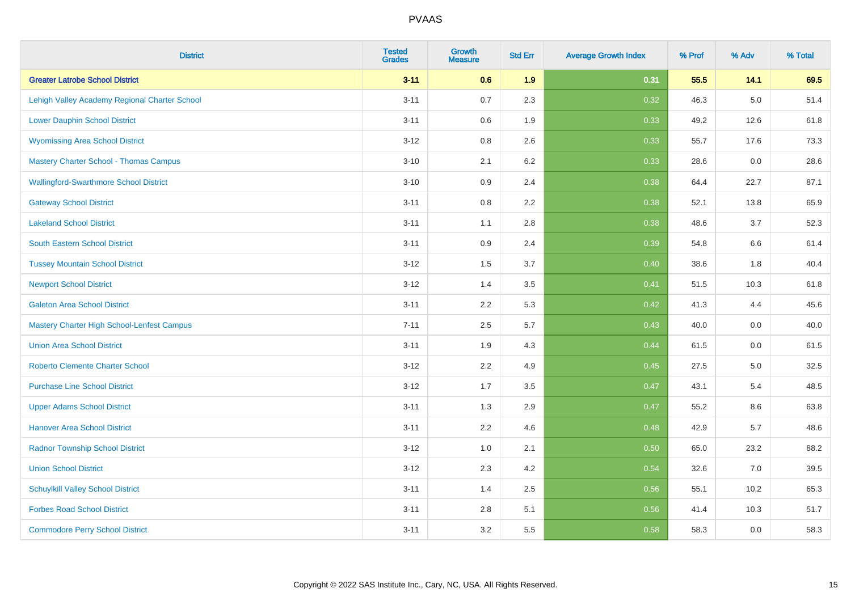| <b>District</b>                                   | <b>Tested</b><br><b>Grades</b> | <b>Growth</b><br><b>Measure</b> | <b>Std Err</b> | <b>Average Growth Index</b> | % Prof | % Adv   | % Total |
|---------------------------------------------------|--------------------------------|---------------------------------|----------------|-----------------------------|--------|---------|---------|
| <b>Greater Latrobe School District</b>            | $3 - 11$                       | 0.6                             | 1.9            | 0.31                        | 55.5   | 14.1    | 69.5    |
| Lehigh Valley Academy Regional Charter School     | $3 - 11$                       | 0.7                             | 2.3            | 0.32                        | 46.3   | $5.0\,$ | 51.4    |
| <b>Lower Dauphin School District</b>              | $3 - 11$                       | 0.6                             | 1.9            | 0.33                        | 49.2   | 12.6    | 61.8    |
| <b>Wyomissing Area School District</b>            | $3 - 12$                       | $0.8\,$                         | 2.6            | 0.33                        | 55.7   | 17.6    | 73.3    |
| <b>Mastery Charter School - Thomas Campus</b>     | $3 - 10$                       | 2.1                             | 6.2            | 0.33                        | 28.6   | 0.0     | 28.6    |
| <b>Wallingford-Swarthmore School District</b>     | $3 - 10$                       | 0.9                             | 2.4            | 0.38                        | 64.4   | 22.7    | 87.1    |
| <b>Gateway School District</b>                    | $3 - 11$                       | 0.8                             | 2.2            | 0.38                        | 52.1   | 13.8    | 65.9    |
| <b>Lakeland School District</b>                   | $3 - 11$                       | 1.1                             | 2.8            | 0.38                        | 48.6   | 3.7     | 52.3    |
| <b>South Eastern School District</b>              | $3 - 11$                       | 0.9                             | 2.4            | 0.39                        | 54.8   | 6.6     | 61.4    |
| <b>Tussey Mountain School District</b>            | $3 - 12$                       | 1.5                             | 3.7            | 0.40                        | 38.6   | 1.8     | 40.4    |
| <b>Newport School District</b>                    | $3 - 12$                       | 1.4                             | 3.5            | 0.41                        | 51.5   | 10.3    | 61.8    |
| <b>Galeton Area School District</b>               | $3 - 11$                       | 2.2                             | 5.3            | 0.42                        | 41.3   | 4.4     | 45.6    |
| <b>Mastery Charter High School-Lenfest Campus</b> | $7 - 11$                       | 2.5                             | 5.7            | 0.43                        | 40.0   | $0.0\,$ | 40.0    |
| <b>Union Area School District</b>                 | $3 - 11$                       | 1.9                             | 4.3            | 0.44                        | 61.5   | 0.0     | 61.5    |
| <b>Roberto Clemente Charter School</b>            | $3 - 12$                       | 2.2                             | 4.9            | 0.45                        | 27.5   | $5.0\,$ | 32.5    |
| <b>Purchase Line School District</b>              | $3-12$                         | 1.7                             | 3.5            | 0.47                        | 43.1   | 5.4     | 48.5    |
| <b>Upper Adams School District</b>                | $3 - 11$                       | 1.3                             | 2.9            | 0.47                        | 55.2   | $8.6\,$ | 63.8    |
| <b>Hanover Area School District</b>               | $3 - 11$                       | 2.2                             | 4.6            | 0.48                        | 42.9   | 5.7     | 48.6    |
| <b>Radnor Township School District</b>            | $3 - 12$                       | 1.0                             | 2.1            | 0.50                        | 65.0   | 23.2    | 88.2    |
| <b>Union School District</b>                      | $3 - 12$                       | 2.3                             | 4.2            | 0.54                        | 32.6   | 7.0     | 39.5    |
| <b>Schuylkill Valley School District</b>          | $3 - 11$                       | 1.4                             | 2.5            | 0.56                        | 55.1   | 10.2    | 65.3    |
| <b>Forbes Road School District</b>                | $3 - 11$                       | 2.8                             | 5.1            | 0.56                        | 41.4   | 10.3    | 51.7    |
| <b>Commodore Perry School District</b>            | $3 - 11$                       | 3.2                             | 5.5            | 0.58                        | 58.3   | 0.0     | 58.3    |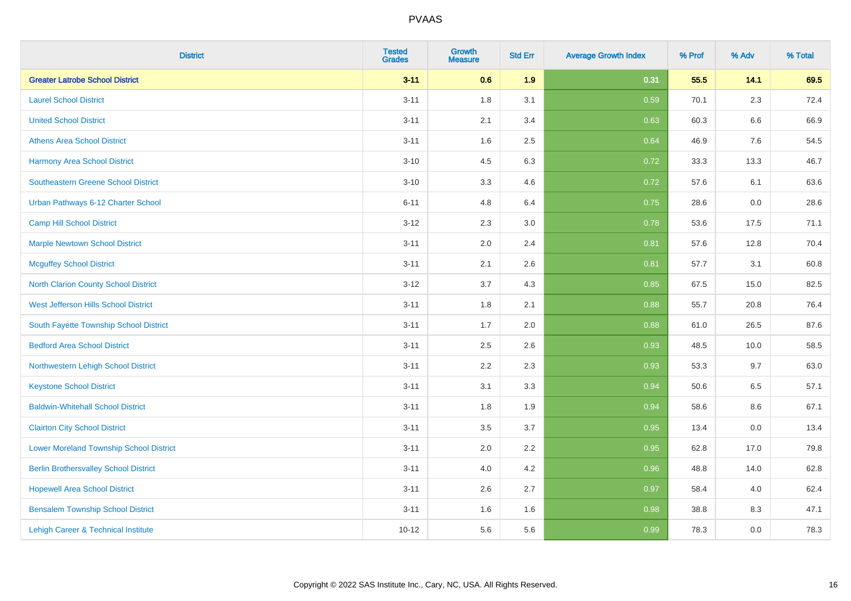| <b>District</b>                                | <b>Tested</b><br><b>Grades</b> | <b>Growth</b><br><b>Measure</b> | <b>Std Err</b> | <b>Average Growth Index</b> | % Prof | % Adv | % Total |
|------------------------------------------------|--------------------------------|---------------------------------|----------------|-----------------------------|--------|-------|---------|
| <b>Greater Latrobe School District</b>         | $3 - 11$                       | 0.6                             | 1.9            | 0.31                        | 55.5   | 14.1  | 69.5    |
| <b>Laurel School District</b>                  | $3 - 11$                       | 1.8                             | 3.1            | 0.59                        | 70.1   | 2.3   | 72.4    |
| <b>United School District</b>                  | $3 - 11$                       | 2.1                             | 3.4            | 0.63                        | 60.3   | 6.6   | 66.9    |
| <b>Athens Area School District</b>             | $3 - 11$                       | 1.6                             | 2.5            | 0.64                        | 46.9   | 7.6   | 54.5    |
| <b>Harmony Area School District</b>            | $3 - 10$                       | 4.5                             | 6.3            | 0.72                        | 33.3   | 13.3  | 46.7    |
| <b>Southeastern Greene School District</b>     | $3 - 10$                       | 3.3                             | 4.6            | 0.72                        | 57.6   | 6.1   | 63.6    |
| Urban Pathways 6-12 Charter School             | $6 - 11$                       | 4.8                             | 6.4            | 0.75                        | 28.6   | 0.0   | 28.6    |
| <b>Camp Hill School District</b>               | $3 - 12$                       | 2.3                             | 3.0            | 0.78                        | 53.6   | 17.5  | 71.1    |
| <b>Marple Newtown School District</b>          | $3 - 11$                       | 2.0                             | 2.4            | 0.81                        | 57.6   | 12.8  | 70.4    |
| <b>Mcguffey School District</b>                | $3 - 11$                       | 2.1                             | 2.6            | 0.81                        | 57.7   | 3.1   | 60.8    |
| <b>North Clarion County School District</b>    | $3 - 12$                       | 3.7                             | 4.3            | 0.85                        | 67.5   | 15.0  | 82.5    |
| West Jefferson Hills School District           | $3 - 11$                       | 1.8                             | 2.1            | 0.88                        | 55.7   | 20.8  | 76.4    |
| South Fayette Township School District         | $3 - 11$                       | 1.7                             | 2.0            | 0.88                        | 61.0   | 26.5  | 87.6    |
| <b>Bedford Area School District</b>            | $3 - 11$                       | 2.5                             | 2.6            | 0.93                        | 48.5   | 10.0  | 58.5    |
| Northwestern Lehigh School District            | $3 - 11$                       | 2.2                             | 2.3            | 0.93                        | 53.3   | 9.7   | 63.0    |
| <b>Keystone School District</b>                | $3 - 11$                       | 3.1                             | 3.3            | 0.94                        | 50.6   | 6.5   | 57.1    |
| <b>Baldwin-Whitehall School District</b>       | $3 - 11$                       | 1.8                             | 1.9            | 0.94                        | 58.6   | 8.6   | 67.1    |
| <b>Clairton City School District</b>           | $3 - 11$                       | 3.5                             | 3.7            | 0.95                        | 13.4   | 0.0   | 13.4    |
| <b>Lower Moreland Township School District</b> | $3 - 11$                       | 2.0                             | 2.2            | 0.95                        | 62.8   | 17.0  | 79.8    |
| <b>Berlin Brothersvalley School District</b>   | $3 - 11$                       | 4.0                             | 4.2            | 0.96                        | 48.8   | 14.0  | 62.8    |
| <b>Hopewell Area School District</b>           | $3 - 11$                       | 2.6                             | 2.7            | 0.97                        | 58.4   | 4.0   | 62.4    |
| <b>Bensalem Township School District</b>       | $3 - 11$                       | 1.6                             | 1.6            | 0.98                        | 38.8   | 8.3   | 47.1    |
| Lehigh Career & Technical Institute            | $10 - 12$                      | 5.6                             | 5.6            | 0.99                        | 78.3   | 0.0   | 78.3    |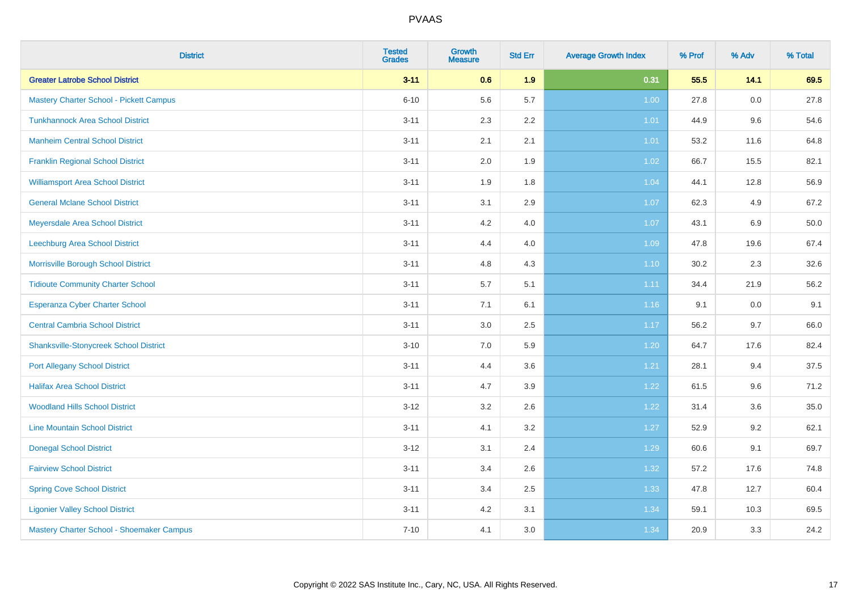| <b>District</b>                           | <b>Tested</b><br><b>Grades</b> | <b>Growth</b><br><b>Measure</b> | <b>Std Err</b> | <b>Average Growth Index</b> | % Prof | % Adv | % Total |
|-------------------------------------------|--------------------------------|---------------------------------|----------------|-----------------------------|--------|-------|---------|
| <b>Greater Latrobe School District</b>    | $3 - 11$                       | 0.6                             | 1.9            | 0.31                        | 55.5   | 14.1  | 69.5    |
| Mastery Charter School - Pickett Campus   | $6 - 10$                       | 5.6                             | 5.7            | 1.00                        | 27.8   | 0.0   | 27.8    |
| <b>Tunkhannock Area School District</b>   | $3 - 11$                       | 2.3                             | 2.2            | 1.01                        | 44.9   | 9.6   | 54.6    |
| <b>Manheim Central School District</b>    | $3 - 11$                       | 2.1                             | 2.1            | 1.01                        | 53.2   | 11.6  | 64.8    |
| <b>Franklin Regional School District</b>  | $3 - 11$                       | 2.0                             | 1.9            | 1.02                        | 66.7   | 15.5  | 82.1    |
| <b>Williamsport Area School District</b>  | $3 - 11$                       | 1.9                             | 1.8            | 1.04                        | 44.1   | 12.8  | 56.9    |
| <b>General Mclane School District</b>     | $3 - 11$                       | 3.1                             | 2.9            | 1.07                        | 62.3   | 4.9   | 67.2    |
| Meyersdale Area School District           | $3 - 11$                       | 4.2                             | 4.0            | 1.07                        | 43.1   | 6.9   | 50.0    |
| Leechburg Area School District            | $3 - 11$                       | 4.4                             | 4.0            | 1.09                        | 47.8   | 19.6  | 67.4    |
| Morrisville Borough School District       | $3 - 11$                       | 4.8                             | 4.3            | $1.10$                      | 30.2   | 2.3   | 32.6    |
| <b>Tidioute Community Charter School</b>  | $3 - 11$                       | 5.7                             | 5.1            | 1.11                        | 34.4   | 21.9  | 56.2    |
| Esperanza Cyber Charter School            | $3 - 11$                       | 7.1                             | 6.1            | 1.16                        | 9.1    | 0.0   | 9.1     |
| <b>Central Cambria School District</b>    | $3 - 11$                       | $3.0\,$                         | 2.5            | 1.17                        | 56.2   | 9.7   | 66.0    |
| Shanksville-Stonycreek School District    | $3 - 10$                       | $7.0\,$                         | 5.9            | 1.20                        | 64.7   | 17.6  | 82.4    |
| <b>Port Allegany School District</b>      | $3 - 11$                       | 4.4                             | 3.6            | 1.21                        | 28.1   | 9.4   | 37.5    |
| <b>Halifax Area School District</b>       | $3 - 11$                       | 4.7                             | 3.9            | 1.22                        | 61.5   | 9.6   | 71.2    |
| <b>Woodland Hills School District</b>     | $3 - 12$                       | 3.2                             | 2.6            | 1.22                        | 31.4   | 3.6   | 35.0    |
| <b>Line Mountain School District</b>      | $3 - 11$                       | 4.1                             | 3.2            | $1.27$                      | 52.9   | 9.2   | 62.1    |
| <b>Donegal School District</b>            | $3 - 12$                       | 3.1                             | 2.4            | 1.29                        | 60.6   | 9.1   | 69.7    |
| <b>Fairview School District</b>           | $3 - 11$                       | 3.4                             | 2.6            | 1.32                        | 57.2   | 17.6  | 74.8    |
| <b>Spring Cove School District</b>        | $3 - 11$                       | 3.4                             | 2.5            | 1.33                        | 47.8   | 12.7  | 60.4    |
| <b>Ligonier Valley School District</b>    | $3 - 11$                       | 4.2                             | 3.1            | 1.34                        | 59.1   | 10.3  | 69.5    |
| Mastery Charter School - Shoemaker Campus | $7 - 10$                       | 4.1                             | 3.0            | 1.34                        | 20.9   | 3.3   | 24.2    |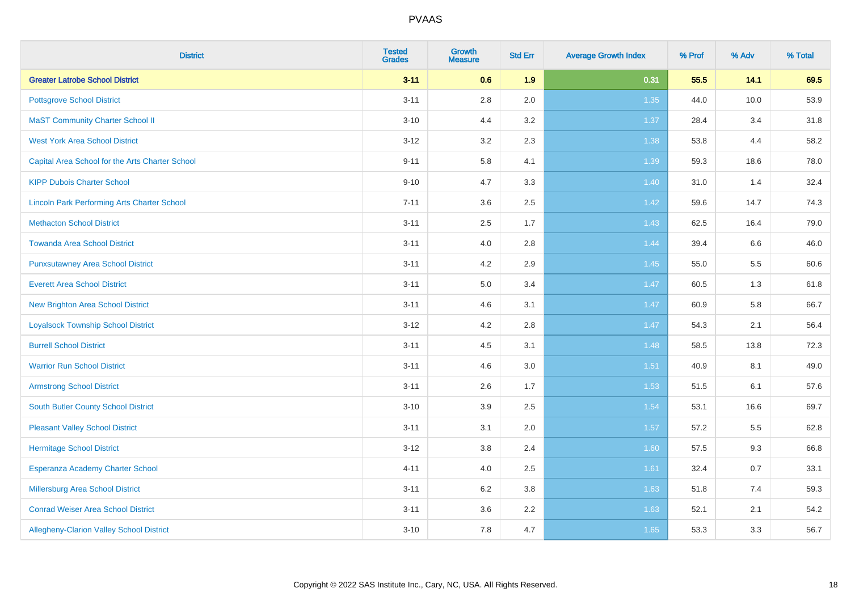| <b>District</b>                                    | <b>Tested</b><br><b>Grades</b> | <b>Growth</b><br><b>Measure</b> | <b>Std Err</b> | <b>Average Growth Index</b> | % Prof | % Adv | % Total |
|----------------------------------------------------|--------------------------------|---------------------------------|----------------|-----------------------------|--------|-------|---------|
| <b>Greater Latrobe School District</b>             | $3 - 11$                       | 0.6                             | 1.9            | 0.31                        | 55.5   | 14.1  | 69.5    |
| <b>Pottsgrove School District</b>                  | $3 - 11$                       | $2.8\,$                         | 2.0            | 1.35                        | 44.0   | 10.0  | 53.9    |
| <b>MaST Community Charter School II</b>            | $3 - 10$                       | 4.4                             | 3.2            | 1.37                        | 28.4   | 3.4   | 31.8    |
| <b>West York Area School District</b>              | $3 - 12$                       | 3.2                             | 2.3            | 1.38                        | 53.8   | 4.4   | 58.2    |
| Capital Area School for the Arts Charter School    | $9 - 11$                       | 5.8                             | 4.1            | 1.39                        | 59.3   | 18.6  | 78.0    |
| <b>KIPP Dubois Charter School</b>                  | $9 - 10$                       | 4.7                             | 3.3            | 1.40                        | 31.0   | 1.4   | 32.4    |
| <b>Lincoln Park Performing Arts Charter School</b> | $7 - 11$                       | 3.6                             | 2.5            | 1.42                        | 59.6   | 14.7  | 74.3    |
| <b>Methacton School District</b>                   | $3 - 11$                       | 2.5                             | 1.7            | 1.43                        | 62.5   | 16.4  | 79.0    |
| <b>Towanda Area School District</b>                | $3 - 11$                       | 4.0                             | 2.8            | 1.44                        | 39.4   | 6.6   | 46.0    |
| <b>Punxsutawney Area School District</b>           | $3 - 11$                       | 4.2                             | 2.9            | $1.45$                      | 55.0   | 5.5   | 60.6    |
| <b>Everett Area School District</b>                | $3 - 11$                       | 5.0                             | 3.4            | 1.47                        | 60.5   | 1.3   | 61.8    |
| <b>New Brighton Area School District</b>           | $3 - 11$                       | 4.6                             | 3.1            | $1.47$                      | 60.9   | 5.8   | 66.7    |
| <b>Loyalsock Township School District</b>          | $3 - 12$                       | 4.2                             | 2.8            | 1.47                        | 54.3   | 2.1   | 56.4    |
| <b>Burrell School District</b>                     | $3 - 11$                       | 4.5                             | 3.1            | 1.48                        | 58.5   | 13.8  | 72.3    |
| <b>Warrior Run School District</b>                 | $3 - 11$                       | 4.6                             | 3.0            | 1.51                        | 40.9   | 8.1   | 49.0    |
| <b>Armstrong School District</b>                   | $3 - 11$                       | 2.6                             | 1.7            | 1.53                        | 51.5   | 6.1   | 57.6    |
| <b>South Butler County School District</b>         | $3 - 10$                       | 3.9                             | 2.5            | 1.54                        | 53.1   | 16.6  | 69.7    |
| <b>Pleasant Valley School District</b>             | $3 - 11$                       | 3.1                             | 2.0            | 1.57                        | 57.2   | 5.5   | 62.8    |
| <b>Hermitage School District</b>                   | $3 - 12$                       | $3.8\,$                         | 2.4            | 1.60                        | 57.5   | 9.3   | 66.8    |
| Esperanza Academy Charter School                   | $4 - 11$                       | 4.0                             | 2.5            | 1.61                        | 32.4   | 0.7   | 33.1    |
| Millersburg Area School District                   | $3 - 11$                       | 6.2                             | 3.8            | 1.63                        | 51.8   | 7.4   | 59.3    |
| <b>Conrad Weiser Area School District</b>          | $3 - 11$                       | 3.6                             | 2.2            | 1.63                        | 52.1   | 2.1   | 54.2    |
| Allegheny-Clarion Valley School District           | $3 - 10$                       | 7.8                             | 4.7            | 1.65                        | 53.3   | 3.3   | 56.7    |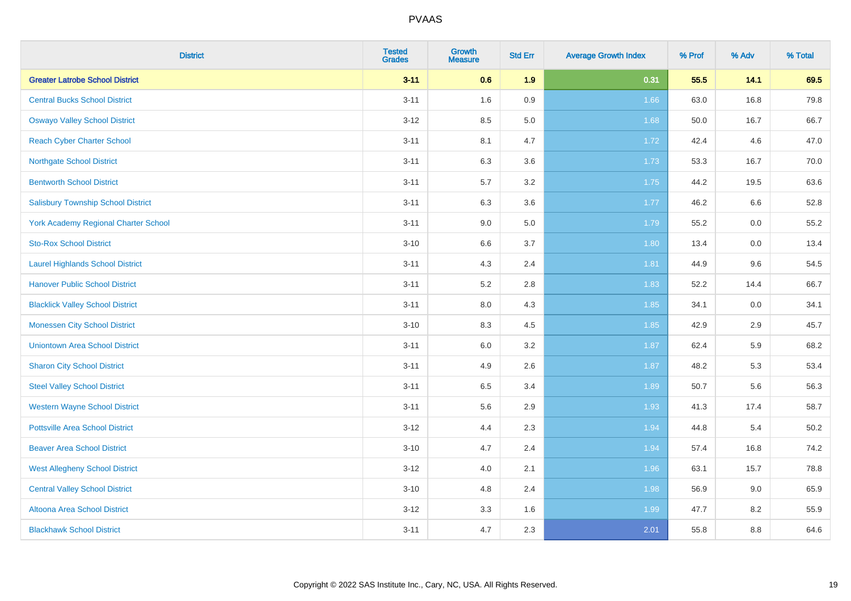| <b>District</b>                             | <b>Tested</b><br><b>Grades</b> | <b>Growth</b><br><b>Measure</b> | <b>Std Err</b> | <b>Average Growth Index</b> | % Prof | % Adv | % Total |
|---------------------------------------------|--------------------------------|---------------------------------|----------------|-----------------------------|--------|-------|---------|
| <b>Greater Latrobe School District</b>      | $3 - 11$                       | 0.6                             | 1.9            | 0.31                        | 55.5   | 14.1  | 69.5    |
| <b>Central Bucks School District</b>        | $3 - 11$                       | 1.6                             | 0.9            | 1.66                        | 63.0   | 16.8  | 79.8    |
| <b>Oswayo Valley School District</b>        | $3 - 12$                       | 8.5                             | 5.0            | 1.68                        | 50.0   | 16.7  | 66.7    |
| <b>Reach Cyber Charter School</b>           | $3 - 11$                       | 8.1                             | 4.7            | 1.72                        | 42.4   | 4.6   | 47.0    |
| <b>Northgate School District</b>            | $3 - 11$                       | 6.3                             | 3.6            | 1.73                        | 53.3   | 16.7  | 70.0    |
| <b>Bentworth School District</b>            | $3 - 11$                       | 5.7                             | 3.2            | 1.75                        | 44.2   | 19.5  | 63.6    |
| <b>Salisbury Township School District</b>   | $3 - 11$                       | 6.3                             | 3.6            | 1.77                        | 46.2   | 6.6   | 52.8    |
| <b>York Academy Regional Charter School</b> | $3 - 11$                       | 9.0                             | 5.0            | 1.79                        | 55.2   | 0.0   | 55.2    |
| <b>Sto-Rox School District</b>              | $3 - 10$                       | 6.6                             | 3.7            | 1.80                        | 13.4   | 0.0   | 13.4    |
| <b>Laurel Highlands School District</b>     | $3 - 11$                       | 4.3                             | 2.4            | 1.81                        | 44.9   | 9.6   | 54.5    |
| <b>Hanover Public School District</b>       | $3 - 11$                       | 5.2                             | 2.8            | 1.83                        | 52.2   | 14.4  | 66.7    |
| <b>Blacklick Valley School District</b>     | $3 - 11$                       | 8.0                             | 4.3            | 1.85                        | 34.1   | 0.0   | 34.1    |
| <b>Monessen City School District</b>        | $3 - 10$                       | 8.3                             | 4.5            | 1.85                        | 42.9   | 2.9   | 45.7    |
| <b>Uniontown Area School District</b>       | $3 - 11$                       | 6.0                             | 3.2            | 1.87                        | 62.4   | 5.9   | 68.2    |
| <b>Sharon City School District</b>          | $3 - 11$                       | 4.9                             | 2.6            | 1.87                        | 48.2   | 5.3   | 53.4    |
| <b>Steel Valley School District</b>         | $3 - 11$                       | 6.5                             | 3.4            | 1.89                        | 50.7   | 5.6   | 56.3    |
| <b>Western Wayne School District</b>        | $3 - 11$                       | 5.6                             | 2.9            | 1.93                        | 41.3   | 17.4  | 58.7    |
| <b>Pottsville Area School District</b>      | $3-12$                         | 4.4                             | 2.3            | 1.94                        | 44.8   | 5.4   | 50.2    |
| <b>Beaver Area School District</b>          | $3 - 10$                       | 4.7                             | 2.4            | 1.94                        | 57.4   | 16.8  | 74.2    |
| <b>West Allegheny School District</b>       | $3-12$                         | 4.0                             | 2.1            | 1.96                        | 63.1   | 15.7  | 78.8    |
| <b>Central Valley School District</b>       | $3 - 10$                       | 4.8                             | 2.4            | 1.98                        | 56.9   | 9.0   | 65.9    |
| Altoona Area School District                | $3-12$                         | 3.3                             | 1.6            | 1.99                        | 47.7   | 8.2   | 55.9    |
| <b>Blackhawk School District</b>            | $3 - 11$                       | 4.7                             | 2.3            | 2.01                        | 55.8   | 8.8   | 64.6    |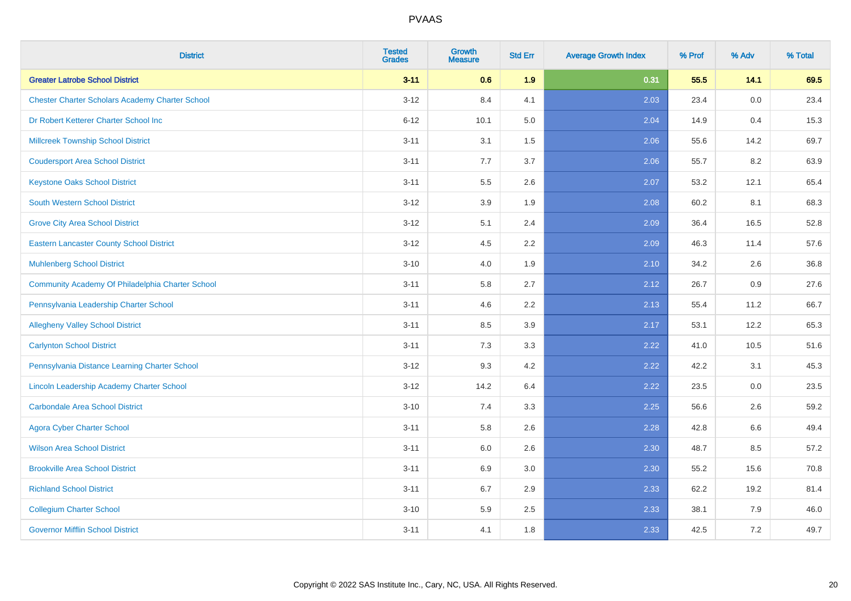| <b>District</b>                                        | <b>Tested</b><br><b>Grades</b> | <b>Growth</b><br><b>Measure</b> | <b>Std Err</b> | <b>Average Growth Index</b> | % Prof | % Adv | % Total |
|--------------------------------------------------------|--------------------------------|---------------------------------|----------------|-----------------------------|--------|-------|---------|
| <b>Greater Latrobe School District</b>                 | $3 - 11$                       | 0.6                             | 1.9            | 0.31                        | 55.5   | 14.1  | 69.5    |
| <b>Chester Charter Scholars Academy Charter School</b> | $3 - 12$                       | 8.4                             | 4.1            | 2.03                        | 23.4   | 0.0   | 23.4    |
| Dr Robert Ketterer Charter School Inc                  | $6 - 12$                       | 10.1                            | 5.0            | 2.04                        | 14.9   | 0.4   | 15.3    |
| <b>Millcreek Township School District</b>              | $3 - 11$                       | 3.1                             | 1.5            | 2.06                        | 55.6   | 14.2  | 69.7    |
| <b>Coudersport Area School District</b>                | $3 - 11$                       | 7.7                             | 3.7            | 2.06                        | 55.7   | 8.2   | 63.9    |
| <b>Keystone Oaks School District</b>                   | $3 - 11$                       | 5.5                             | 2.6            | 2.07                        | 53.2   | 12.1  | 65.4    |
| South Western School District                          | $3 - 12$                       | 3.9                             | 1.9            | 2.08                        | 60.2   | 8.1   | 68.3    |
| <b>Grove City Area School District</b>                 | $3 - 12$                       | 5.1                             | 2.4            | 2.09                        | 36.4   | 16.5  | 52.8    |
| <b>Eastern Lancaster County School District</b>        | $3 - 12$                       | 4.5                             | 2.2            | 2.09                        | 46.3   | 11.4  | 57.6    |
| <b>Muhlenberg School District</b>                      | $3 - 10$                       | 4.0                             | 1.9            | 2.10                        | 34.2   | 2.6   | 36.8    |
| Community Academy Of Philadelphia Charter School       | $3 - 11$                       | 5.8                             | 2.7            | 2.12                        | 26.7   | 0.9   | 27.6    |
| Pennsylvania Leadership Charter School                 | $3 - 11$                       | 4.6                             | 2.2            | 2.13                        | 55.4   | 11.2  | 66.7    |
| <b>Allegheny Valley School District</b>                | $3 - 11$                       | 8.5                             | 3.9            | 2.17                        | 53.1   | 12.2  | 65.3    |
| <b>Carlynton School District</b>                       | $3 - 11$                       | 7.3                             | 3.3            | 2.22                        | 41.0   | 10.5  | 51.6    |
| Pennsylvania Distance Learning Charter School          | $3 - 12$                       | 9.3                             | 4.2            | 2.22                        | 42.2   | 3.1   | 45.3    |
| Lincoln Leadership Academy Charter School              | $3 - 12$                       | 14.2                            | 6.4            | 2.22                        | 23.5   | 0.0   | 23.5    |
| <b>Carbondale Area School District</b>                 | $3 - 10$                       | 7.4                             | 3.3            | 2.25                        | 56.6   | 2.6   | 59.2    |
| <b>Agora Cyber Charter School</b>                      | $3 - 11$                       | 5.8                             | 2.6            | 2.28                        | 42.8   | 6.6   | 49.4    |
| <b>Wilson Area School District</b>                     | $3 - 11$                       | 6.0                             | 2.6            | 2.30                        | 48.7   | 8.5   | 57.2    |
| <b>Brookville Area School District</b>                 | $3 - 11$                       | 6.9                             | 3.0            | 2.30                        | 55.2   | 15.6  | 70.8    |
| <b>Richland School District</b>                        | $3 - 11$                       | 6.7                             | 2.9            | 2.33                        | 62.2   | 19.2  | 81.4    |
| <b>Collegium Charter School</b>                        | $3 - 10$                       | 5.9                             | 2.5            | 2.33                        | 38.1   | 7.9   | 46.0    |
| <b>Governor Mifflin School District</b>                | $3 - 11$                       | 4.1                             | 1.8            | 2.33                        | 42.5   | 7.2   | 49.7    |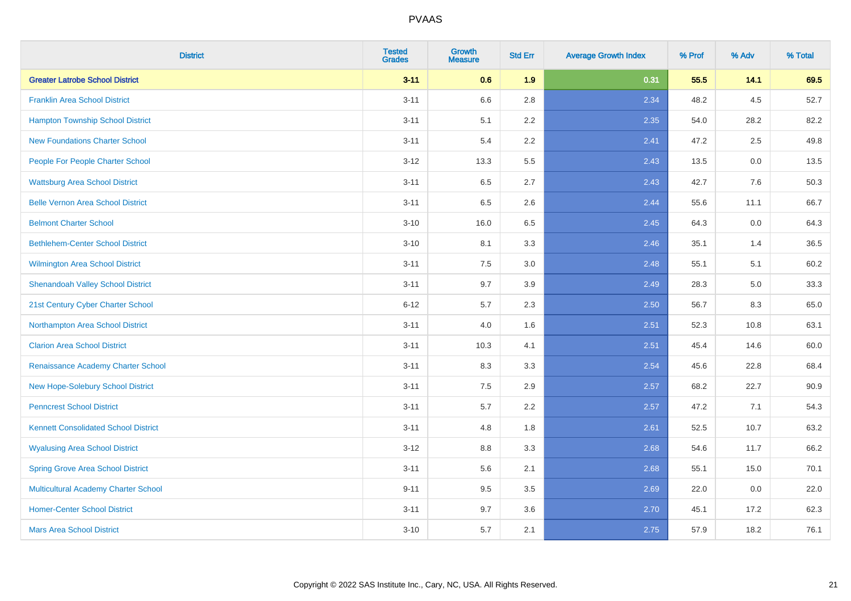| <b>District</b>                             | <b>Tested</b><br><b>Grades</b> | <b>Growth</b><br><b>Measure</b> | <b>Std Err</b> | <b>Average Growth Index</b> | % Prof | % Adv | % Total |
|---------------------------------------------|--------------------------------|---------------------------------|----------------|-----------------------------|--------|-------|---------|
| <b>Greater Latrobe School District</b>      | $3 - 11$                       | 0.6                             | 1.9            | 0.31                        | 55.5   | 14.1  | 69.5    |
| <b>Franklin Area School District</b>        | $3 - 11$                       | 6.6                             | 2.8            | 2.34                        | 48.2   | 4.5   | 52.7    |
| <b>Hampton Township School District</b>     | $3 - 11$                       | 5.1                             | 2.2            | 2.35                        | 54.0   | 28.2  | 82.2    |
| <b>New Foundations Charter School</b>       | $3 - 11$                       | 5.4                             | 2.2            | 2.41                        | 47.2   | 2.5   | 49.8    |
| People For People Charter School            | $3-12$                         | 13.3                            | 5.5            | 2.43                        | 13.5   | 0.0   | 13.5    |
| <b>Wattsburg Area School District</b>       | $3 - 11$                       | 6.5                             | 2.7            | 2.43                        | 42.7   | 7.6   | 50.3    |
| <b>Belle Vernon Area School District</b>    | $3 - 11$                       | 6.5                             | 2.6            | 2.44                        | 55.6   | 11.1  | 66.7    |
| <b>Belmont Charter School</b>               | $3 - 10$                       | 16.0                            | 6.5            | 2.45                        | 64.3   | 0.0   | 64.3    |
| <b>Bethlehem-Center School District</b>     | $3 - 10$                       | 8.1                             | 3.3            | 2.46                        | 35.1   | 1.4   | 36.5    |
| <b>Wilmington Area School District</b>      | $3 - 11$                       | 7.5                             | 3.0            | 2.48                        | 55.1   | 5.1   | 60.2    |
| <b>Shenandoah Valley School District</b>    | $3 - 11$                       | 9.7                             | 3.9            | 2.49                        | 28.3   | 5.0   | 33.3    |
| 21st Century Cyber Charter School           | $6 - 12$                       | 5.7                             | 2.3            | 2.50                        | 56.7   | 8.3   | 65.0    |
| Northampton Area School District            | $3 - 11$                       | 4.0                             | 1.6            | 2.51                        | 52.3   | 10.8  | 63.1    |
| <b>Clarion Area School District</b>         | $3 - 11$                       | 10.3                            | 4.1            | 2.51                        | 45.4   | 14.6  | 60.0    |
| Renaissance Academy Charter School          | $3 - 11$                       | 8.3                             | 3.3            | 2.54                        | 45.6   | 22.8  | 68.4    |
| New Hope-Solebury School District           | $3 - 11$                       | 7.5                             | 2.9            | 2.57                        | 68.2   | 22.7  | 90.9    |
| <b>Penncrest School District</b>            | $3 - 11$                       | 5.7                             | 2.2            | 2.57                        | 47.2   | 7.1   | 54.3    |
| <b>Kennett Consolidated School District</b> | $3 - 11$                       | 4.8                             | 1.8            | 2.61                        | 52.5   | 10.7  | 63.2    |
| <b>Wyalusing Area School District</b>       | $3 - 12$                       | $8.8\,$                         | 3.3            | 2.68                        | 54.6   | 11.7  | 66.2    |
| <b>Spring Grove Area School District</b>    | $3 - 11$                       | 5.6                             | 2.1            | 2.68                        | 55.1   | 15.0  | 70.1    |
| <b>Multicultural Academy Charter School</b> | $9 - 11$                       | 9.5                             | 3.5            | 2.69                        | 22.0   | 0.0   | 22.0    |
| <b>Homer-Center School District</b>         | $3 - 11$                       | 9.7                             | 3.6            | 2.70                        | 45.1   | 17.2  | 62.3    |
| <b>Mars Area School District</b>            | $3 - 10$                       | 5.7                             | 2.1            | 2.75                        | 57.9   | 18.2  | 76.1    |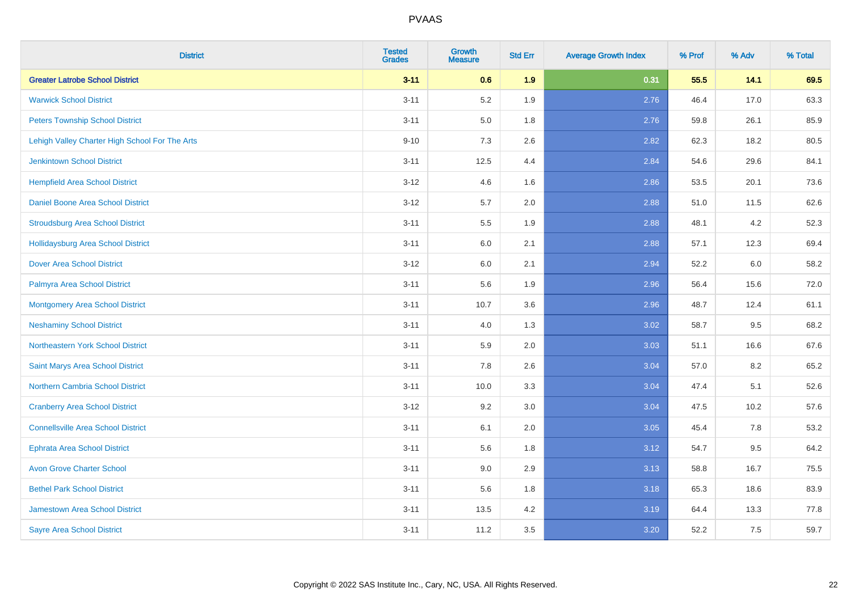| <b>District</b>                                | <b>Tested</b><br><b>Grades</b> | <b>Growth</b><br><b>Measure</b> | <b>Std Err</b> | <b>Average Growth Index</b> | % Prof | % Adv | % Total |
|------------------------------------------------|--------------------------------|---------------------------------|----------------|-----------------------------|--------|-------|---------|
| <b>Greater Latrobe School District</b>         | $3 - 11$                       | 0.6                             | 1.9            | 0.31                        | 55.5   | 14.1  | 69.5    |
| <b>Warwick School District</b>                 | $3 - 11$                       | 5.2                             | 1.9            | 2.76                        | 46.4   | 17.0  | 63.3    |
| <b>Peters Township School District</b>         | $3 - 11$                       | 5.0                             | 1.8            | 2.76                        | 59.8   | 26.1  | 85.9    |
| Lehigh Valley Charter High School For The Arts | $9 - 10$                       | 7.3                             | 2.6            | 2.82                        | 62.3   | 18.2  | 80.5    |
| <b>Jenkintown School District</b>              | $3 - 11$                       | 12.5                            | 4.4            | 2.84                        | 54.6   | 29.6  | 84.1    |
| <b>Hempfield Area School District</b>          | $3 - 12$                       | 4.6                             | 1.6            | 2.86                        | 53.5   | 20.1  | 73.6    |
| Daniel Boone Area School District              | $3 - 12$                       | 5.7                             | 2.0            | 2.88                        | 51.0   | 11.5  | 62.6    |
| <b>Stroudsburg Area School District</b>        | $3 - 11$                       | $5.5\,$                         | 1.9            | 2.88                        | 48.1   | 4.2   | 52.3    |
| <b>Hollidaysburg Area School District</b>      | $3 - 11$                       | 6.0                             | 2.1            | 2.88                        | 57.1   | 12.3  | 69.4    |
| <b>Dover Area School District</b>              | $3 - 12$                       | 6.0                             | 2.1            | 2.94                        | 52.2   | 6.0   | 58.2    |
| Palmyra Area School District                   | $3 - 11$                       | 5.6                             | 1.9            | 2.96                        | 56.4   | 15.6  | 72.0    |
| <b>Montgomery Area School District</b>         | $3 - 11$                       | 10.7                            | 3.6            | 2.96                        | 48.7   | 12.4  | 61.1    |
| <b>Neshaminy School District</b>               | $3 - 11$                       | 4.0                             | 1.3            | 3.02                        | 58.7   | 9.5   | 68.2    |
| Northeastern York School District              | $3 - 11$                       | 5.9                             | 2.0            | 3.03                        | 51.1   | 16.6  | 67.6    |
| Saint Marys Area School District               | $3 - 11$                       | 7.8                             | 2.6            | 3.04                        | 57.0   | 8.2   | 65.2    |
| <b>Northern Cambria School District</b>        | $3 - 11$                       | 10.0                            | 3.3            | 3.04                        | 47.4   | 5.1   | 52.6    |
| <b>Cranberry Area School District</b>          | $3 - 12$                       | 9.2                             | 3.0            | 3.04                        | 47.5   | 10.2  | 57.6    |
| <b>Connellsville Area School District</b>      | $3 - 11$                       | 6.1                             | 2.0            | 3.05                        | 45.4   | 7.8   | 53.2    |
| <b>Ephrata Area School District</b>            | $3 - 11$                       | 5.6                             | 1.8            | 3.12                        | 54.7   | 9.5   | 64.2    |
| <b>Avon Grove Charter School</b>               | $3 - 11$                       | 9.0                             | 2.9            | 3.13                        | 58.8   | 16.7  | 75.5    |
| <b>Bethel Park School District</b>             | $3 - 11$                       | 5.6                             | 1.8            | 3.18                        | 65.3   | 18.6  | 83.9    |
| Jamestown Area School District                 | $3 - 11$                       | 13.5                            | 4.2            | 3.19                        | 64.4   | 13.3  | 77.8    |
| <b>Sayre Area School District</b>              | $3 - 11$                       | 11.2                            | 3.5            | 3.20                        | 52.2   | 7.5   | 59.7    |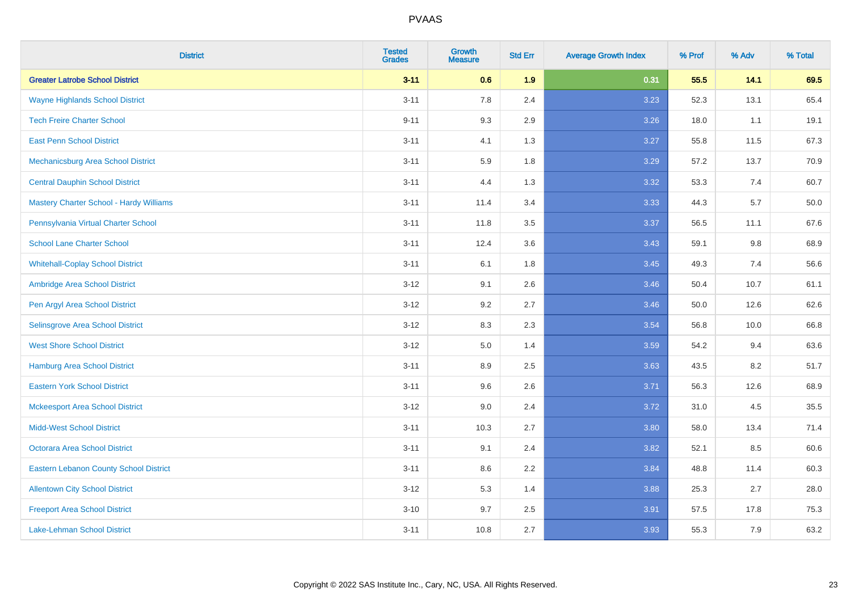| <b>District</b>                                | <b>Tested</b><br><b>Grades</b> | <b>Growth</b><br><b>Measure</b> | <b>Std Err</b> | <b>Average Growth Index</b> | % Prof | % Adv | % Total |
|------------------------------------------------|--------------------------------|---------------------------------|----------------|-----------------------------|--------|-------|---------|
| <b>Greater Latrobe School District</b>         | $3 - 11$                       | 0.6                             | 1.9            | 0.31                        | 55.5   | 14.1  | 69.5    |
| <b>Wayne Highlands School District</b>         | $3 - 11$                       | 7.8                             | 2.4            | 3.23                        | 52.3   | 13.1  | 65.4    |
| <b>Tech Freire Charter School</b>              | $9 - 11$                       | 9.3                             | 2.9            | 3.26                        | 18.0   | 1.1   | 19.1    |
| <b>East Penn School District</b>               | $3 - 11$                       | 4.1                             | 1.3            | 3.27                        | 55.8   | 11.5  | 67.3    |
| Mechanicsburg Area School District             | $3 - 11$                       | 5.9                             | 1.8            | 3.29                        | 57.2   | 13.7  | 70.9    |
| <b>Central Dauphin School District</b>         | $3 - 11$                       | 4.4                             | 1.3            | 3.32                        | 53.3   | 7.4   | 60.7    |
| <b>Mastery Charter School - Hardy Williams</b> | $3 - 11$                       | 11.4                            | 3.4            | 3.33                        | 44.3   | 5.7   | 50.0    |
| Pennsylvania Virtual Charter School            | $3 - 11$                       | 11.8                            | 3.5            | 3.37                        | 56.5   | 11.1  | 67.6    |
| <b>School Lane Charter School</b>              | $3 - 11$                       | 12.4                            | 3.6            | 3.43                        | 59.1   | 9.8   | 68.9    |
| <b>Whitehall-Coplay School District</b>        | $3 - 11$                       | 6.1                             | 1.8            | 3.45                        | 49.3   | 7.4   | 56.6    |
| Ambridge Area School District                  | $3 - 12$                       | 9.1                             | 2.6            | 3.46                        | 50.4   | 10.7  | 61.1    |
| Pen Argyl Area School District                 | $3 - 12$                       | 9.2                             | 2.7            | 3.46                        | 50.0   | 12.6  | 62.6    |
| Selinsgrove Area School District               | $3 - 12$                       | 8.3                             | 2.3            | 3.54                        | 56.8   | 10.0  | 66.8    |
| <b>West Shore School District</b>              | $3 - 12$                       | 5.0                             | 1.4            | 3.59                        | 54.2   | 9.4   | 63.6    |
| <b>Hamburg Area School District</b>            | $3 - 11$                       | 8.9                             | 2.5            | 3.63                        | 43.5   | 8.2   | 51.7    |
| <b>Eastern York School District</b>            | $3 - 11$                       | 9.6                             | 2.6            | 3.71                        | 56.3   | 12.6  | 68.9    |
| <b>Mckeesport Area School District</b>         | $3 - 12$                       | 9.0                             | 2.4            | 3.72                        | 31.0   | 4.5   | 35.5    |
| <b>Midd-West School District</b>               | $3 - 11$                       | 10.3                            | 2.7            | 3.80                        | 58.0   | 13.4  | 71.4    |
| <b>Octorara Area School District</b>           | $3 - 11$                       | 9.1                             | 2.4            | 3.82                        | 52.1   | 8.5   | 60.6    |
| <b>Eastern Lebanon County School District</b>  | $3 - 11$                       | 8.6                             | 2.2            | 3.84                        | 48.8   | 11.4  | 60.3    |
| <b>Allentown City School District</b>          | $3 - 12$                       | 5.3                             | 1.4            | 3.88                        | 25.3   | 2.7   | 28.0    |
| <b>Freeport Area School District</b>           | $3 - 10$                       | 9.7                             | 2.5            | 3.91                        | 57.5   | 17.8  | 75.3    |
| <b>Lake-Lehman School District</b>             | $3 - 11$                       | 10.8                            | 2.7            | 3.93                        | 55.3   | 7.9   | 63.2    |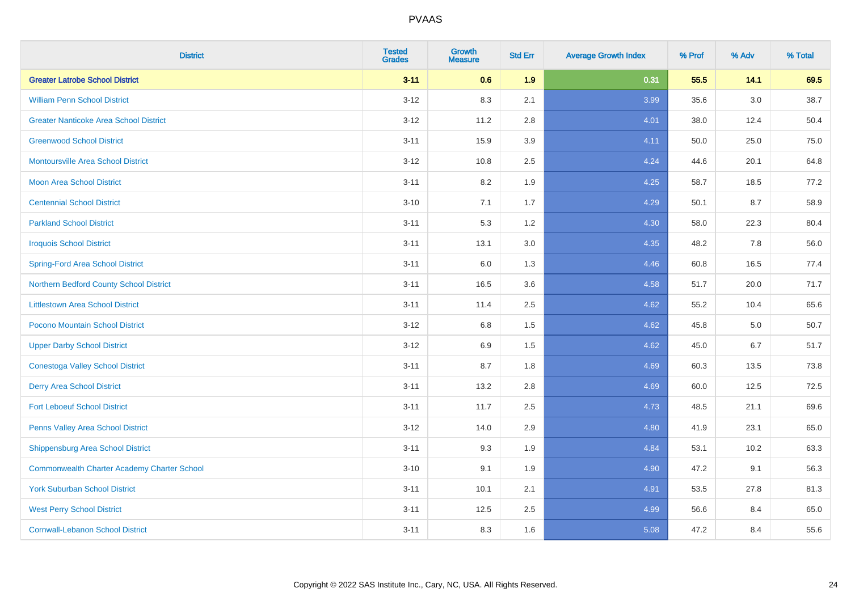| <b>District</b>                                    | <b>Tested</b><br><b>Grades</b> | <b>Growth</b><br><b>Measure</b> | <b>Std Err</b> | <b>Average Growth Index</b> | % Prof | % Adv | % Total |
|----------------------------------------------------|--------------------------------|---------------------------------|----------------|-----------------------------|--------|-------|---------|
| <b>Greater Latrobe School District</b>             | $3 - 11$                       | 0.6                             | 1.9            | 0.31                        | 55.5   | 14.1  | 69.5    |
| <b>William Penn School District</b>                | $3 - 12$                       | 8.3                             | 2.1            | 3.99                        | 35.6   | 3.0   | 38.7    |
| <b>Greater Nanticoke Area School District</b>      | $3 - 12$                       | 11.2                            | 2.8            | 4.01                        | 38.0   | 12.4  | 50.4    |
| <b>Greenwood School District</b>                   | $3 - 11$                       | 15.9                            | 3.9            | 4.11                        | 50.0   | 25.0  | 75.0    |
| <b>Montoursville Area School District</b>          | $3 - 12$                       | 10.8                            | 2.5            | 4.24                        | 44.6   | 20.1  | 64.8    |
| Moon Area School District                          | $3 - 11$                       | 8.2                             | 1.9            | 4.25                        | 58.7   | 18.5  | 77.2    |
| <b>Centennial School District</b>                  | $3 - 10$                       | 7.1                             | 1.7            | 4.29                        | 50.1   | 8.7   | 58.9    |
| <b>Parkland School District</b>                    | $3 - 11$                       | 5.3                             | 1.2            | 4.30                        | 58.0   | 22.3  | 80.4    |
| <b>Iroquois School District</b>                    | $3 - 11$                       | 13.1                            | 3.0            | 4.35                        | 48.2   | 7.8   | 56.0    |
| <b>Spring-Ford Area School District</b>            | $3 - 11$                       | 6.0                             | 1.3            | 4.46                        | 60.8   | 16.5  | 77.4    |
| Northern Bedford County School District            | $3 - 11$                       | 16.5                            | 3.6            | 4.58                        | 51.7   | 20.0  | 71.7    |
| <b>Littlestown Area School District</b>            | $3 - 11$                       | 11.4                            | 2.5            | 4.62                        | 55.2   | 10.4  | 65.6    |
| Pocono Mountain School District                    | $3 - 12$                       | $6.8\,$                         | 1.5            | 4.62                        | 45.8   | 5.0   | 50.7    |
| <b>Upper Darby School District</b>                 | $3 - 12$                       | 6.9                             | 1.5            | 4.62                        | 45.0   | 6.7   | 51.7    |
| <b>Conestoga Valley School District</b>            | $3 - 11$                       | 8.7                             | 1.8            | 4.69                        | 60.3   | 13.5  | 73.8    |
| <b>Derry Area School District</b>                  | $3 - 11$                       | 13.2                            | 2.8            | 4.69                        | 60.0   | 12.5  | 72.5    |
| <b>Fort Leboeuf School District</b>                | $3 - 11$                       | 11.7                            | 2.5            | 4.73                        | 48.5   | 21.1  | 69.6    |
| Penns Valley Area School District                  | $3 - 12$                       | 14.0                            | 2.9            | 4.80                        | 41.9   | 23.1  | 65.0    |
| <b>Shippensburg Area School District</b>           | $3 - 11$                       | 9.3                             | 1.9            | 4.84                        | 53.1   | 10.2  | 63.3    |
| <b>Commonwealth Charter Academy Charter School</b> | $3 - 10$                       | 9.1                             | 1.9            | 4.90                        | 47.2   | 9.1   | 56.3    |
| <b>York Suburban School District</b>               | $3 - 11$                       | 10.1                            | 2.1            | 4.91                        | 53.5   | 27.8  | 81.3    |
| <b>West Perry School District</b>                  | $3 - 11$                       | 12.5                            | 2.5            | 4.99                        | 56.6   | 8.4   | 65.0    |
| <b>Cornwall-Lebanon School District</b>            | $3 - 11$                       | 8.3                             | 1.6            | 5.08                        | 47.2   | 8.4   | 55.6    |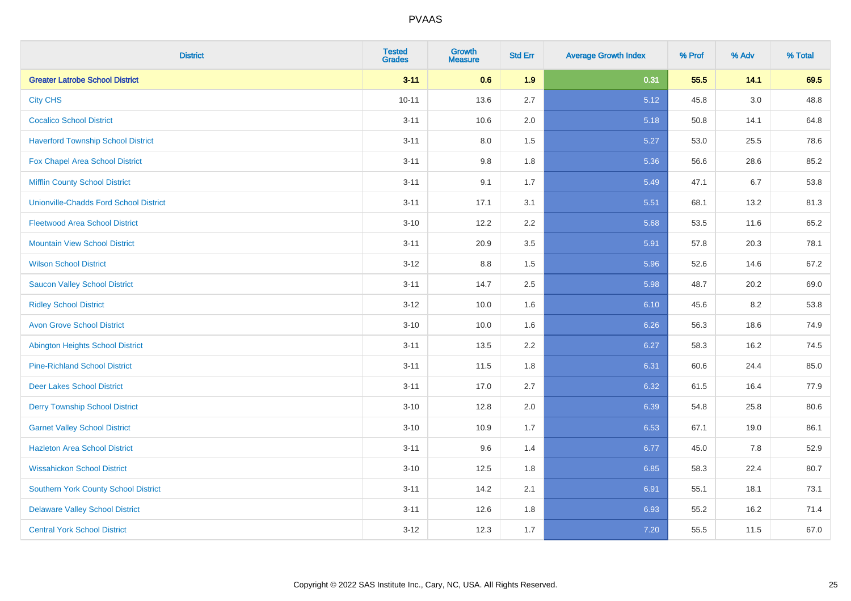| <b>District</b>                               | <b>Tested</b><br><b>Grades</b> | <b>Growth</b><br><b>Measure</b> | <b>Std Err</b> | <b>Average Growth Index</b> | % Prof | % Adv   | % Total |
|-----------------------------------------------|--------------------------------|---------------------------------|----------------|-----------------------------|--------|---------|---------|
| <b>Greater Latrobe School District</b>        | $3 - 11$                       | 0.6                             | 1.9            | 0.31                        | 55.5   | 14.1    | 69.5    |
| <b>City CHS</b>                               | $10 - 11$                      | 13.6                            | 2.7            | 5.12                        | 45.8   | $3.0\,$ | 48.8    |
| <b>Cocalico School District</b>               | $3 - 11$                       | 10.6                            | 2.0            | 5.18                        | 50.8   | 14.1    | 64.8    |
| <b>Haverford Township School District</b>     | $3 - 11$                       | $8.0\,$                         | 1.5            | 5.27                        | 53.0   | 25.5    | 78.6    |
| Fox Chapel Area School District               | $3 - 11$                       | 9.8                             | 1.8            | 5.36                        | 56.6   | 28.6    | 85.2    |
| <b>Mifflin County School District</b>         | $3 - 11$                       | 9.1                             | 1.7            | 5.49                        | 47.1   | 6.7     | 53.8    |
| <b>Unionville-Chadds Ford School District</b> | $3 - 11$                       | 17.1                            | 3.1            | 5.51                        | 68.1   | 13.2    | 81.3    |
| <b>Fleetwood Area School District</b>         | $3 - 10$                       | 12.2                            | 2.2            | 5.68                        | 53.5   | 11.6    | 65.2    |
| <b>Mountain View School District</b>          | $3 - 11$                       | 20.9                            | 3.5            | 5.91                        | 57.8   | 20.3    | 78.1    |
| <b>Wilson School District</b>                 | $3 - 12$                       | 8.8                             | 1.5            | 5.96                        | 52.6   | 14.6    | 67.2    |
| <b>Saucon Valley School District</b>          | $3 - 11$                       | 14.7                            | 2.5            | 5.98                        | 48.7   | 20.2    | 69.0    |
| <b>Ridley School District</b>                 | $3-12$                         | 10.0                            | 1.6            | 6.10                        | 45.6   | 8.2     | 53.8    |
| <b>Avon Grove School District</b>             | $3 - 10$                       | 10.0                            | 1.6            | 6.26                        | 56.3   | 18.6    | 74.9    |
| <b>Abington Heights School District</b>       | $3 - 11$                       | 13.5                            | 2.2            | 6.27                        | 58.3   | 16.2    | 74.5    |
| <b>Pine-Richland School District</b>          | $3 - 11$                       | 11.5                            | 1.8            | 6.31                        | 60.6   | 24.4    | 85.0    |
| Deer Lakes School District                    | $3 - 11$                       | 17.0                            | 2.7            | 6.32                        | 61.5   | 16.4    | 77.9    |
| <b>Derry Township School District</b>         | $3 - 10$                       | 12.8                            | 2.0            | 6.39                        | 54.8   | 25.8    | 80.6    |
| <b>Garnet Valley School District</b>          | $3 - 10$                       | 10.9                            | 1.7            | 6.53                        | 67.1   | 19.0    | 86.1    |
| <b>Hazleton Area School District</b>          | $3 - 11$                       | 9.6                             | 1.4            | 6.77                        | 45.0   | 7.8     | 52.9    |
| <b>Wissahickon School District</b>            | $3 - 10$                       | 12.5                            | 1.8            | 6.85                        | 58.3   | 22.4    | 80.7    |
| <b>Southern York County School District</b>   | $3 - 11$                       | 14.2                            | 2.1            | 6.91                        | 55.1   | 18.1    | 73.1    |
| <b>Delaware Valley School District</b>        | $3 - 11$                       | 12.6                            | 1.8            | 6.93                        | 55.2   | 16.2    | 71.4    |
| <b>Central York School District</b>           | $3-12$                         | 12.3                            | 1.7            | 7.20                        | 55.5   | 11.5    | 67.0    |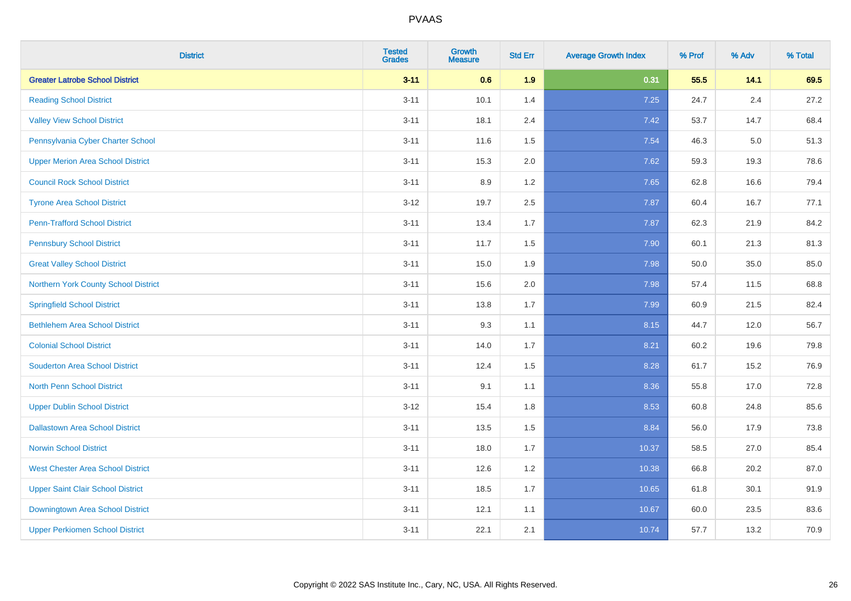| <b>District</b>                          | <b>Tested</b><br><b>Grades</b> | <b>Growth</b><br><b>Measure</b> | <b>Std Err</b> | <b>Average Growth Index</b> | % Prof | % Adv   | % Total |
|------------------------------------------|--------------------------------|---------------------------------|----------------|-----------------------------|--------|---------|---------|
| <b>Greater Latrobe School District</b>   | $3 - 11$                       | 0.6                             | 1.9            | 0.31                        | 55.5   | 14.1    | 69.5    |
| <b>Reading School District</b>           | $3 - 11$                       | 10.1                            | 1.4            | 7.25                        | 24.7   | $2.4\,$ | 27.2    |
| <b>Valley View School District</b>       | $3 - 11$                       | 18.1                            | 2.4            | 7.42                        | 53.7   | 14.7    | 68.4    |
| Pennsylvania Cyber Charter School        | $3 - 11$                       | 11.6                            | 1.5            | 7.54                        | 46.3   | 5.0     | 51.3    |
| <b>Upper Merion Area School District</b> | $3 - 11$                       | 15.3                            | 2.0            | 7.62                        | 59.3   | 19.3    | 78.6    |
| <b>Council Rock School District</b>      | $3 - 11$                       | 8.9                             | 1.2            | 7.65                        | 62.8   | 16.6    | 79.4    |
| <b>Tyrone Area School District</b>       | $3-12$                         | 19.7                            | 2.5            | 7.87                        | 60.4   | 16.7    | 77.1    |
| <b>Penn-Trafford School District</b>     | $3 - 11$                       | 13.4                            | 1.7            | 7.87                        | 62.3   | 21.9    | 84.2    |
| <b>Pennsbury School District</b>         | $3 - 11$                       | 11.7                            | 1.5            | 7.90                        | 60.1   | 21.3    | 81.3    |
| <b>Great Valley School District</b>      | $3 - 11$                       | 15.0                            | 1.9            | 7.98                        | 50.0   | 35.0    | 85.0    |
| Northern York County School District     | $3 - 11$                       | 15.6                            | 2.0            | 7.98                        | 57.4   | 11.5    | 68.8    |
| <b>Springfield School District</b>       | $3 - 11$                       | 13.8                            | 1.7            | 7.99                        | 60.9   | 21.5    | 82.4    |
| <b>Bethlehem Area School District</b>    | $3 - 11$                       | 9.3                             | 1.1            | 8.15                        | 44.7   | 12.0    | 56.7    |
| <b>Colonial School District</b>          | $3 - 11$                       | 14.0                            | 1.7            | 8.21                        | 60.2   | 19.6    | 79.8    |
| <b>Souderton Area School District</b>    | $3 - 11$                       | 12.4                            | 1.5            | 8.28                        | 61.7   | 15.2    | 76.9    |
| <b>North Penn School District</b>        | $3 - 11$                       | 9.1                             | 1.1            | 8.36                        | 55.8   | 17.0    | 72.8    |
| <b>Upper Dublin School District</b>      | $3-12$                         | 15.4                            | 1.8            | 8.53                        | 60.8   | 24.8    | 85.6    |
| <b>Dallastown Area School District</b>   | $3 - 11$                       | 13.5                            | 1.5            | 8.84                        | 56.0   | 17.9    | 73.8    |
| <b>Norwin School District</b>            | $3 - 11$                       | 18.0                            | 1.7            | 10.37                       | 58.5   | 27.0    | 85.4    |
| <b>West Chester Area School District</b> | $3 - 11$                       | 12.6                            | 1.2            | 10.38                       | 66.8   | 20.2    | 87.0    |
| <b>Upper Saint Clair School District</b> | $3 - 11$                       | 18.5                            | 1.7            | 10.65                       | 61.8   | 30.1    | 91.9    |
| Downingtown Area School District         | $3 - 11$                       | 12.1                            | 1.1            | 10.67                       | 60.0   | 23.5    | 83.6    |
| <b>Upper Perkiomen School District</b>   | $3 - 11$                       | 22.1                            | 2.1            | 10.74                       | 57.7   | 13.2    | 70.9    |